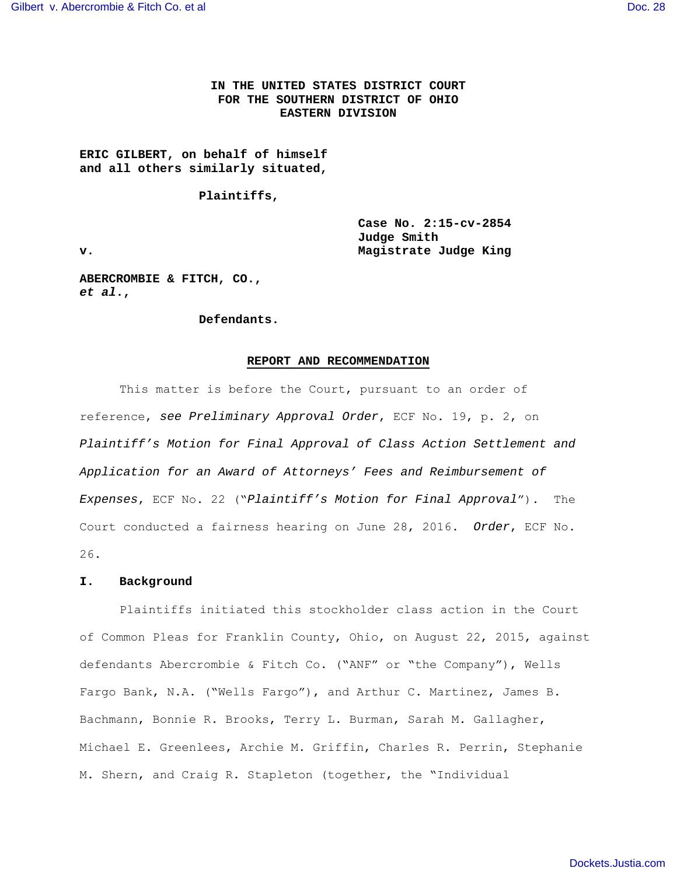# **IN THE UNITED STATES DISTRICT COURT FOR THE SOUTHERN DISTRICT OF OHIO EASTERN DIVISION**

# **ERIC GILBERT, on behalf of himself and all others similarly situated,**

#### **Plaintiffs,**

 **Case No. 2:15-cv-2854 Judge Smith v. Magistrate Judge King** 

**ABERCROMBIE & FITCH, CO., et al.,** 

#### **Defendants.**

# **REPORT AND RECOMMENDATION**

This matter is before the Court, pursuant to an order of reference, see Preliminary Approval Order, ECF No. 19, p. 2, on Plaintiff's Motion for Final Approval of Class Action Settlement and Application for an Award of Attorneys' Fees and Reimbursement of Expenses, ECF No. 22 ("Plaintiff's Motion for Final Approval"). The Court conducted a fairness hearing on June 28, 2016. Order, ECF No. 26.

#### **I. Background**

Plaintiffs initiated this stockholder class action in the Court of Common Pleas for Franklin County, Ohio, on August 22, 2015, against defendants Abercrombie & Fitch Co. ("ANF" or "the Company"), Wells Fargo Bank, N.A. ("Wells Fargo"), and Arthur C. Martinez, James B. Bachmann, Bonnie R. Brooks, Terry L. Burman, Sarah M. Gallagher, Michael E. Greenlees, Archie M. Griffin, Charles R. Perrin, Stephanie M. Shern, and Craig R. Stapleton (together, the "Individual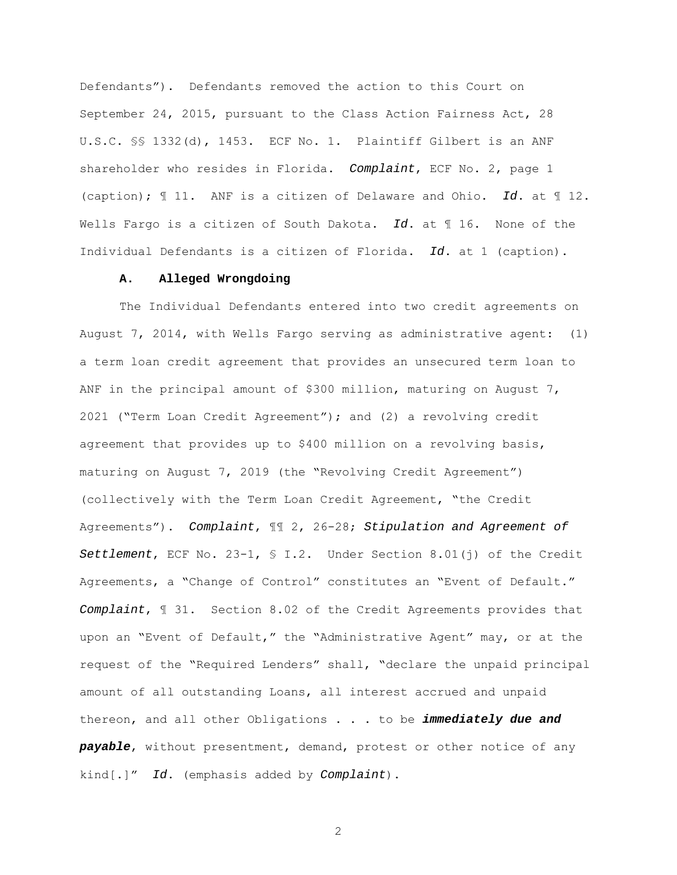Defendants"). Defendants removed the action to this Court on September 24, 2015, pursuant to the Class Action Fairness Act, 28 U.S.C. §§ 1332(d), 1453. ECF No. 1. Plaintiff Gilbert is an ANF shareholder who resides in Florida. Complaint, ECF No. 2, page 1 (caption);  $\text{\ensuremath{\mathfrak{N}}}$  11. ANF is a citizen of Delaware and Ohio. Id. at  $\text{\ensuremath{\mathfrak{N}}}$  12. Wells Fargo is a citizen of South Dakota. Id. at  $\mathbb I$  16. None of the Individual Defendants is a citizen of Florida. Id. at 1 (caption).

# **A. Alleged Wrongdoing**

The Individual Defendants entered into two credit agreements on August 7, 2014, with Wells Fargo serving as administrative agent: (1) a term loan credit agreement that provides an unsecured term loan to ANF in the principal amount of \$300 million, maturing on August  $7$ , 2021 ("Term Loan Credit Agreement"); and (2) a revolving credit agreement that provides up to \$400 million on a revolving basis, maturing on August 7, 2019 (the "Revolving Credit Agreement") (collectively with the Term Loan Credit Agreement, "the Credit Agreements"). Complaint, ¶¶ 2, 26-28; Stipulation and Agreement of Settlement, ECF No. 23-1,  $\frac{1}{2}$  J.2. Under Section 8.01(j) of the Credit Agreements, a "Change of Control" constitutes an "Event of Default." Complaint, ¶ 31. Section 8.02 of the Credit Agreements provides that upon an "Event of Default," the "Administrative Agent" may, or at the request of the "Required Lenders" shall, "declare the unpaid principal amount of all outstanding Loans, all interest accrued and unpaid thereon, and all other Obligations . . . to be **immediately due and payable**, without presentment, demand, protest or other notice of any kind[.]" Id. (emphasis added by Complaint).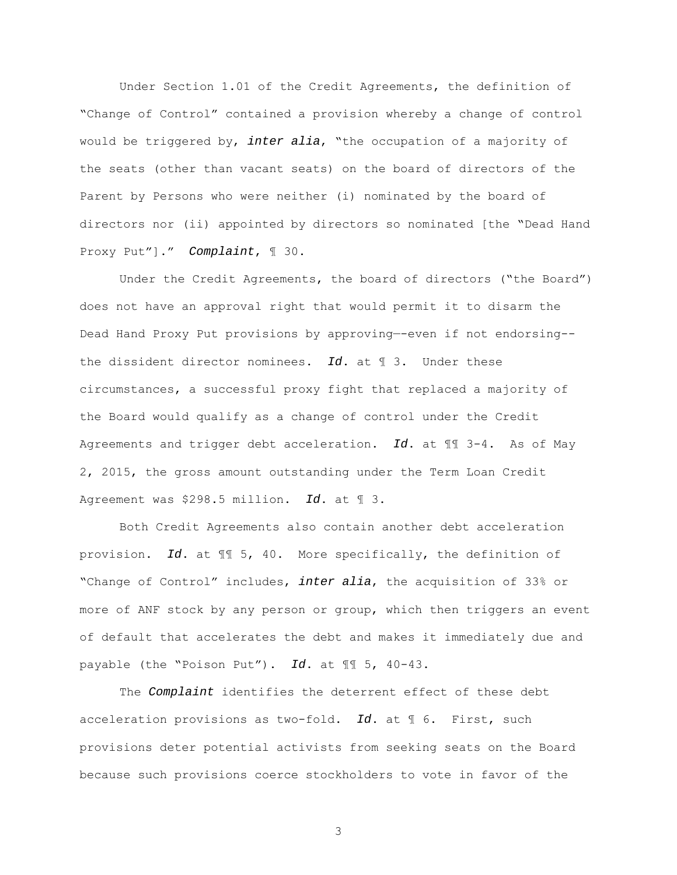Under Section 1.01 of the Credit Agreements, the definition of "Change of Control" contained a provision whereby a change of control would be triggered by, inter alia, "the occupation of a majority of the seats (other than vacant seats) on the board of directors of the Parent by Persons who were neither (i) nominated by the board of directors nor (ii) appointed by directors so nominated [the "Dead Hand Proxy Put"]." Complaint, ¶ 30.

Under the Credit Agreements, the board of directors ("the Board") does not have an approval right that would permit it to disarm the Dead Hand Proxy Put provisions by approving—-even if not endorsing- the dissident director nominees. Id. at  $\P$  3. Under these circumstances, a successful proxy fight that replaced a majority of the Board would qualify as a change of control under the Credit Agreements and trigger debt acceleration. Id. at  $\P$   $\P$  3-4. As of May 2, 2015, the gross amount outstanding under the Term Loan Credit Agreement was \$298.5 million. Id. at 1 3.

Both Credit Agreements also contain another debt acceleration provision. Id. at ¶¶ 5, 40. More specifically, the definition of "Change of Control" includes, inter alia, the acquisition of 33% or more of ANF stock by any person or group, which then triggers an event of default that accelerates the debt and makes it immediately due and payable (the "Poison Put"). Id. at ¶¶ 5, 40-43.

 The Complaint identifies the deterrent effect of these debt acceleration provisions as two-fold. Id. at  $\mathbb I$  6. First, such provisions deter potential activists from seeking seats on the Board because such provisions coerce stockholders to vote in favor of the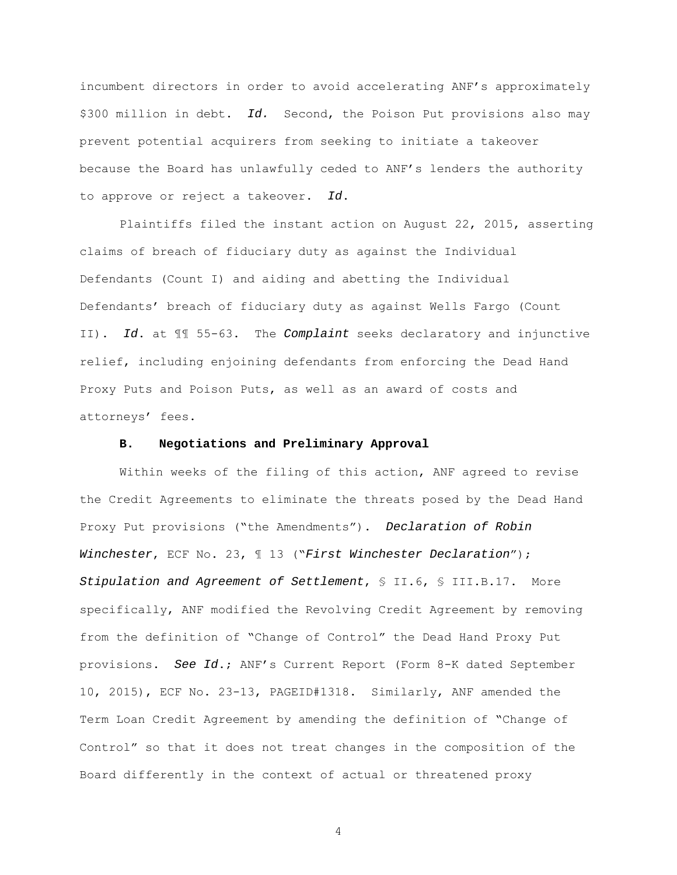incumbent directors in order to avoid accelerating ANF's approximately \$300 million in debt. Id. Second, the Poison Put provisions also may prevent potential acquirers from seeking to initiate a takeover because the Board has unlawfully ceded to ANF's lenders the authority to approve or reject a takeover. Id.

Plaintiffs filed the instant action on August 22, 2015, asserting claims of breach of fiduciary duty as against the Individual Defendants (Count I) and aiding and abetting the Individual Defendants' breach of fiduciary duty as against Wells Fargo (Count II). Id. at  $\mathbb{II}$  55-63. The Complaint seeks declaratory and injunctive relief, including enjoining defendants from enforcing the Dead Hand Proxy Puts and Poison Puts, as well as an award of costs and attorneys' fees.

## **B. Negotiations and Preliminary Approval**

 Within weeks of the filing of this action, ANF agreed to revise the Credit Agreements to eliminate the threats posed by the Dead Hand Proxy Put provisions ("the Amendments"). Declaration of Robin Winchester, ECF No. 23,  $\text{\texttt{I}}$  13 ("First Winchester Declaration"); Stipulation and Agreement of Settlement, § II.6, § III.B.17. More specifically, ANF modified the Revolving Credit Agreement by removing from the definition of "Change of Control" the Dead Hand Proxy Put provisions. See Id.; ANF's Current Report (Form 8-K dated September 10, 2015), ECF No. 23-13, PAGEID#1318. Similarly, ANF amended the Term Loan Credit Agreement by amending the definition of "Change of Control" so that it does not treat changes in the composition of the Board differently in the context of actual or threatened proxy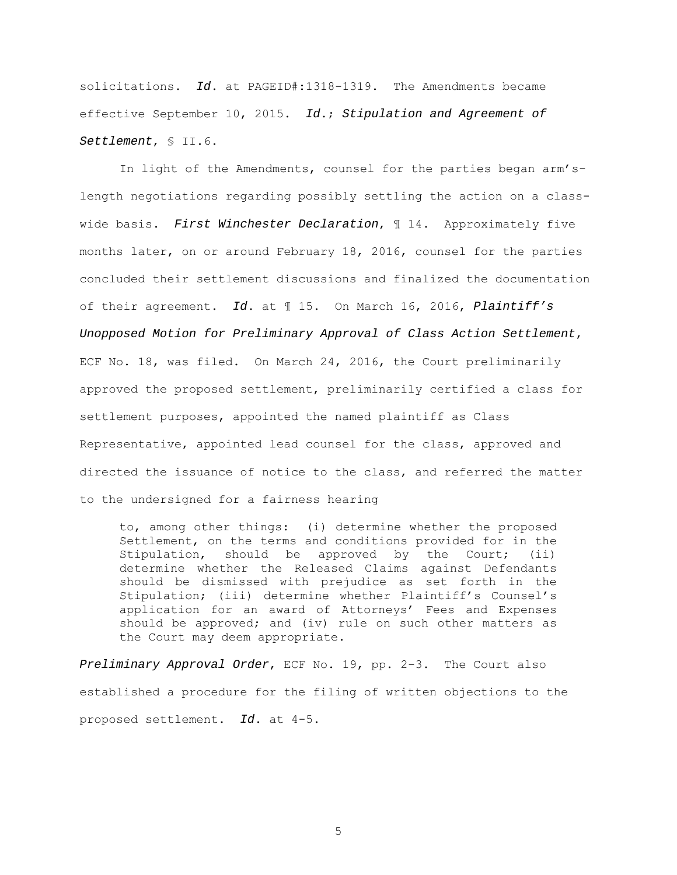solicitations. Id. at PAGEID#:1318-1319. The Amendments became effective September 10, 2015. Id.; Stipulation and Agreement of Settlement, § II.6.

 In light of the Amendments, counsel for the parties began arm'slength negotiations regarding possibly settling the action on a classwide basis. First Winchester Declaration,  $\parallel$  14. Approximately five months later, on or around February 18, 2016, counsel for the parties concluded their settlement discussions and finalized the documentation of their agreement. Id. at 115. On March 16, 2016, Plaintiff's Unopposed Motion for Preliminary Approval of Class Action Settlement, ECF No. 18, was filed. On March 24, 2016, the Court preliminarily approved the proposed settlement, preliminarily certified a class for settlement purposes, appointed the named plaintiff as Class Representative, appointed lead counsel for the class, approved and directed the issuance of notice to the class, and referred the matter to the undersigned for a fairness hearing

to, among other things: (i) determine whether the proposed Settlement, on the terms and conditions provided for in the Stipulation, should be approved by the Court; (ii) determine whether the Released Claims against Defendants should be dismissed with prejudice as set forth in the Stipulation; (iii) determine whether Plaintiff's Counsel's application for an award of Attorneys' Fees and Expenses should be approved; and (iv) rule on such other matters as the Court may deem appropriate.

Preliminary Approval Order, ECF No. 19, pp. 2-3. The Court also established a procedure for the filing of written objections to the proposed settlement. Id. at 4-5.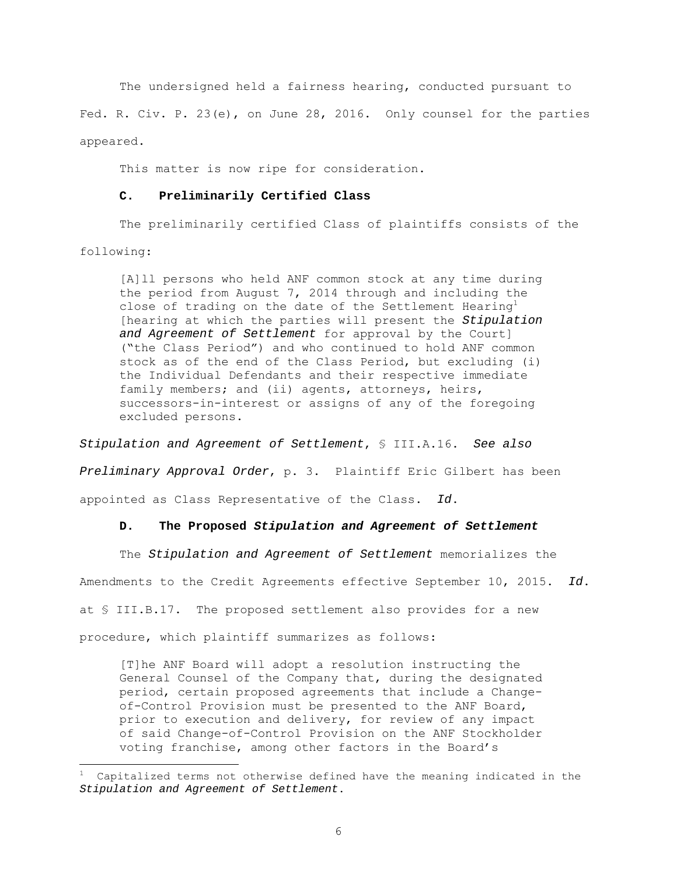The undersigned held a fairness hearing, conducted pursuant to Fed. R. Civ. P. 23(e), on June 28, 2016. Only counsel for the parties appeared.

This matter is now ripe for consideration.

## **C. Preliminarily Certified Class**

The preliminarily certified Class of plaintiffs consists of the

following:

[A]ll persons who held ANF common stock at any time during the period from August 7, 2014 through and including the close of trading on the date of the Settlement Hearing<sup>1</sup> [hearing at which the parties will present the Stipulation and Agreement of Settlement for approval by the Court] ("the Class Period") and who continued to hold ANF common stock as of the end of the Class Period, but excluding (i) the Individual Defendants and their respective immediate family members; and (ii) agents, attorneys, heirs, successors-in-interest or assigns of any of the foregoing excluded persons.

Stipulation and Agreement of Settlement, § III.A.16. See also Preliminary Approval Order, p. 3. Plaintiff Eric Gilbert has been appointed as Class Representative of the Class. Id.

## **D. The Proposed Stipulation and Agreement of Settlement**

The Stipulation and Agreement of Settlement memorializes the Amendments to the Credit Agreements effective September 10, 2015. Id. at § III.B.17. The proposed settlement also provides for a new procedure, which plaintiff summarizes as follows:

[T]he ANF Board will adopt a resolution instructing the General Counsel of the Company that, during the designated period, certain proposed agreements that include a Changeof-Control Provision must be presented to the ANF Board, prior to execution and delivery, for review of any impact of said Change-of-Control Provision on the ANF Stockholder voting franchise, among other factors in the Board's

Capitalized terms not otherwise defined have the meaning indicated in the Stipulation and Agreement of Settlement.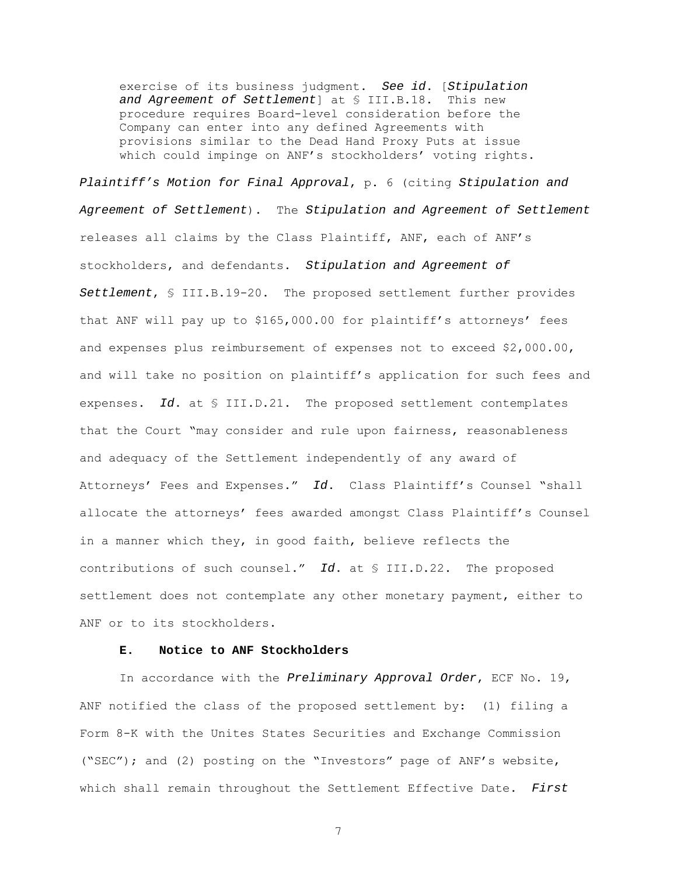exercise of its business judgment. See id. [Stipulation and Agreement of Settlement] at § III.B.18. This new procedure requires Board-level consideration before the Company can enter into any defined Agreements with provisions similar to the Dead Hand Proxy Puts at issue which could impinge on ANF's stockholders' voting rights.

Plaintiff's Motion for Final Approval, p. 6 (citing Stipulation and Agreement of Settlement). The Stipulation and Agreement of Settlement releases all claims by the Class Plaintiff, ANF, each of ANF's stockholders, and defendants. Stipulation and Agreement of Settlement, § III.B.19-20. The proposed settlement further provides that ANF will pay up to \$165,000.00 for plaintiff's attorneys' fees and expenses plus reimbursement of expenses not to exceed \$2,000.00, and will take no position on plaintiff's application for such fees and expenses. Id. at § III.D.21. The proposed settlement contemplates that the Court "may consider and rule upon fairness, reasonableness and adequacy of the Settlement independently of any award of Attorneys' Fees and Expenses." Id. Class Plaintiff's Counsel "shall allocate the attorneys' fees awarded amongst Class Plaintiff's Counsel in a manner which they, in good faith, believe reflects the contributions of such counsel." Id. at § III.D.22. The proposed settlement does not contemplate any other monetary payment, either to ANF or to its stockholders.

# **E. Notice to ANF Stockholders**

In accordance with the Preliminary Approval Order, ECF No. 19, ANF notified the class of the proposed settlement by: (1) filing a Form 8-K with the Unites States Securities and Exchange Commission ("SEC"); and (2) posting on the "Investors" page of ANF's website, which shall remain throughout the Settlement Effective Date. First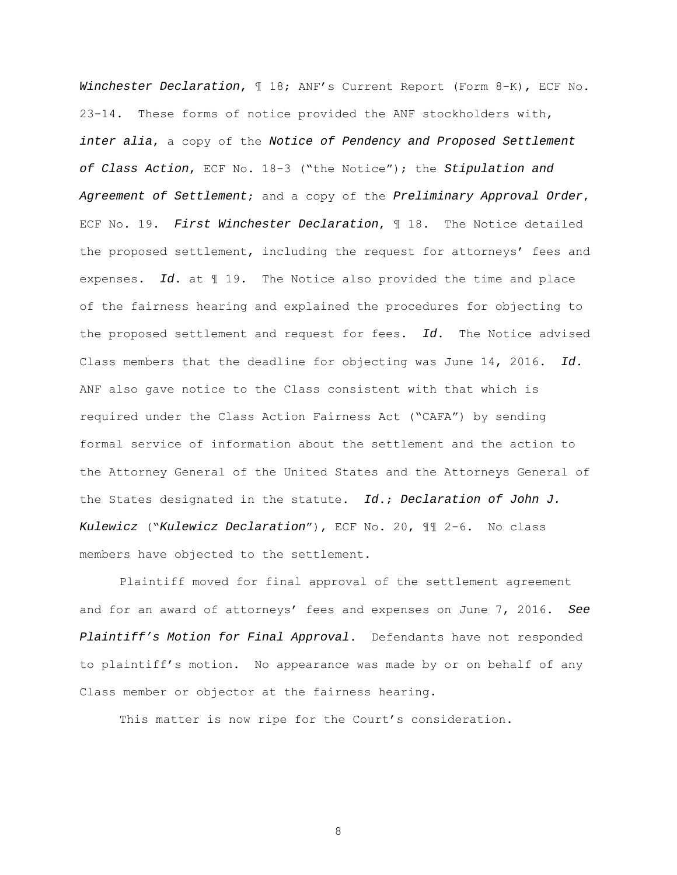Winchester Declaration, ¶ 18; ANF's Current Report (Form 8-K), ECF No. 23-14. These forms of notice provided the ANF stockholders with, inter alia, a copy of the Notice of Pendency and Proposed Settlement of Class Action, ECF No. 18-3 ("the Notice"); the Stipulation and Agreement of Settlement; and a copy of the Preliminary Approval Order, ECF No. 19. First Winchester Declaration,  $\mathbb I$  18. The Notice detailed the proposed settlement, including the request for attorneys' fees and expenses. Id. at  $\P$  19. The Notice also provided the time and place of the fairness hearing and explained the procedures for objecting to the proposed settlement and request for fees. Id. The Notice advised Class members that the deadline for objecting was June 14, 2016. Id. ANF also gave notice to the Class consistent with that which is required under the Class Action Fairness Act ("CAFA") by sending formal service of information about the settlement and the action to the Attorney General of the United States and the Attorneys General of the States designated in the statute.  $Id.$ ; Declaration of John J. Kulewicz ("Kulewicz Declaration"), ECF No. 20, ¶¶ 2-6. No class members have objected to the settlement.

 Plaintiff moved for final approval of the settlement agreement and for an award of attorneys' fees and expenses on June 7, 2016. See Plaintiff's Motion for Final Approval. Defendants have not responded to plaintiff's motion. No appearance was made by or on behalf of any Class member or objector at the fairness hearing.

This matter is now ripe for the Court's consideration.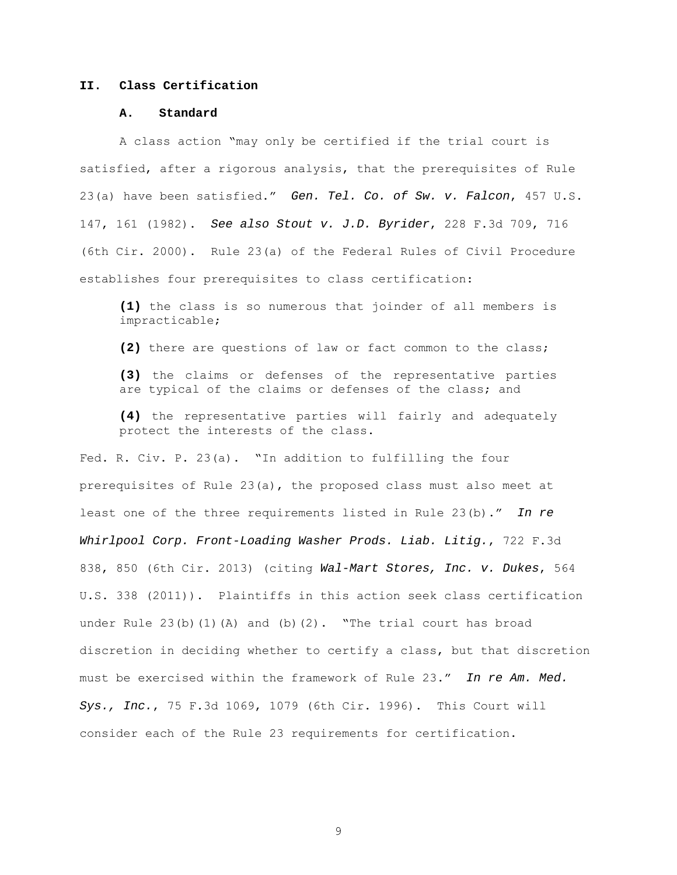# **II. Class Certification**

#### **A. Standard**

A class action "may only be certified if the trial court is satisfied, after a rigorous analysis, that the prerequisites of Rule 23(a) have been satisfied." Gen. Tel. Co. of Sw. v. Falcon, 457 U.S. 147, 161 (1982). See also Stout v. J.D. Byrider, 228 F.3d 709, 716 (6th Cir. 2000). Rule 23(a) of the Federal Rules of Civil Procedure establishes four prerequisites to class certification:

**(1)** the class is so numerous that joinder of all members is impracticable;

**(2)** there are questions of law or fact common to the class;

**(3)** the claims or defenses of the representative parties are typical of the claims or defenses of the class; and

**(4)** the representative parties will fairly and adequately protect the interests of the class.

Fed. R. Civ. P. 23(a). "In addition to fulfilling the four prerequisites of Rule 23(a), the proposed class must also meet at least one of the three requirements listed in Rule 23(b)." In re Whirlpool Corp. Front-Loading Washer Prods. Liab. Litig., 722 F.3d 838, 850 (6th Cir. 2013) (citing Wal-Mart Stores, Inc. v. Dukes, 564 U.S. 338 (2011)). Plaintiffs in this action seek class certification under Rule  $23(b)(1)(A)$  and  $(b)(2)$ . "The trial court has broad discretion in deciding whether to certify a class, but that discretion must be exercised within the framework of Rule 23." In re Am. Med. Sys., Inc., 75 F.3d 1069, 1079 (6th Cir. 1996). This Court will consider each of the Rule 23 requirements for certification.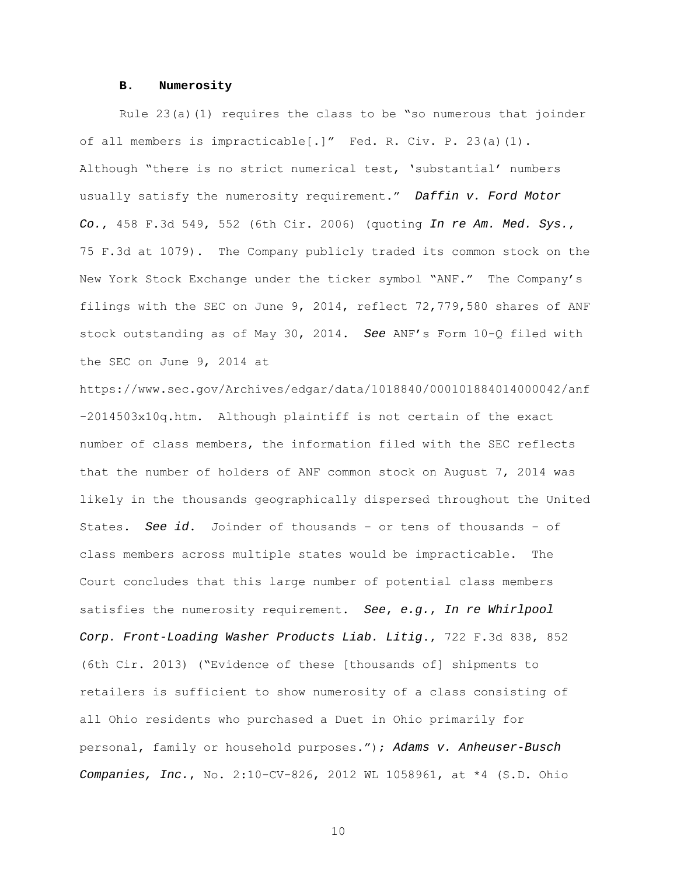### **B. Numerosity**

Rule  $23(a)(1)$  requires the class to be "so numerous that joinder of all members is impracticable[.]" Fed. R. Civ. P. 23(a)(1). Although "there is no strict numerical test, 'substantial' numbers usually satisfy the numerosity requirement." Daffin v. Ford Motor Co.,  $458$  F.3d  $549$ ,  $552$  (6th Cir. 2006) (quoting In re Am. Med. Sys., 75 F.3d at 1079). The Company publicly traded its common stock on the New York Stock Exchange under the ticker symbol "ANF." The Company's filings with the SEC on June 9, 2014, reflect 72,779,580 shares of ANF stock outstanding as of May 30, 2014. See ANF's Form 10-Q filed with the SEC on June 9, 2014 at

https://www.sec.gov/Archives/edgar/data/1018840/000101884014000042/anf -2014503x10q.htm. Although plaintiff is not certain of the exact number of class members, the information filed with the SEC reflects that the number of holders of ANF common stock on August 7, 2014 was likely in the thousands geographically dispersed throughout the United States. See id. Joinder of thousands – or tens of thousands – of class members across multiple states would be impracticable. The Court concludes that this large number of potential class members satisfies the numerosity requirement. See, e.g., In re Whirlpool Corp. Front-Loading Washer Products Liab. Litig., 722 F.3d 838, 852 (6th Cir. 2013) ("Evidence of these [thousands of] shipments to retailers is sufficient to show numerosity of a class consisting of all Ohio residents who purchased a Duet in Ohio primarily for personal, family or household purposes."); Adams v. Anheuser-Busch Companies, Inc., No. 2:10-CV-826, 2012 WL 1058961, at \*4 (S.D. Ohio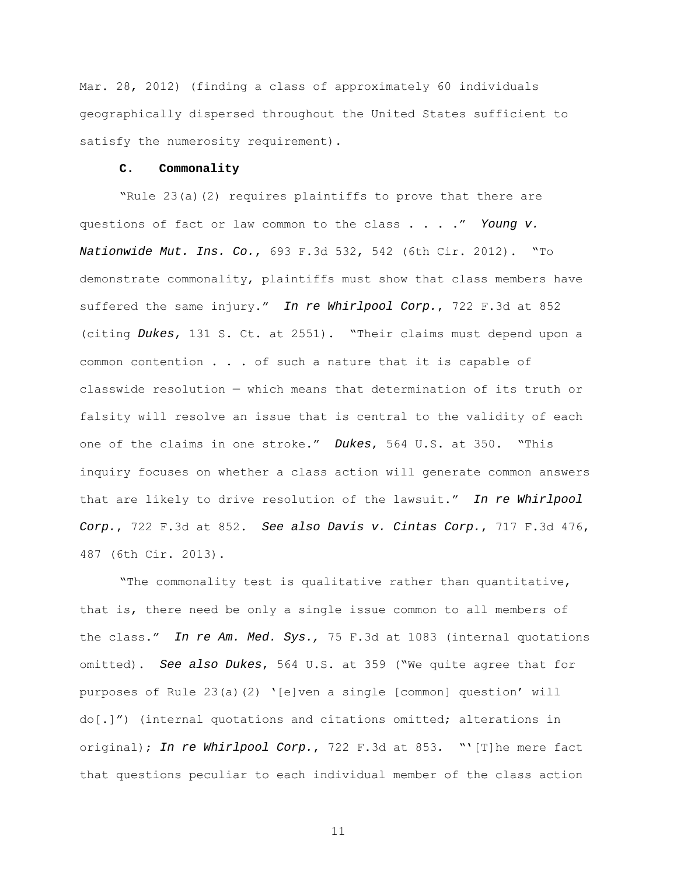Mar. 28, 2012) (finding a class of approximately 60 individuals geographically dispersed throughout the United States sufficient to satisfy the numerosity requirement).

#### **C. Commonality**

"Rule 23(a)(2) requires plaintiffs to prove that there are questions of fact or law common to the class . . . ." Young v. Nationwide Mut. Ins. Co., 693 F.3d 532, 542 (6th Cir. 2012). "To demonstrate commonality, plaintiffs must show that class members have suffered the same injury." In re Whirlpool Corp., 722 F.3d at 852 (citing Dukes, 131 S. Ct. at 2551). "Their claims must depend upon a common contention . . . of such a nature that it is capable of classwide resolution — which means that determination of its truth or falsity will resolve an issue that is central to the validity of each one of the claims in one stroke." Dukes, 564 U.S. at 350. "This inquiry focuses on whether a class action will generate common answers that are likely to drive resolution of the lawsuit." In re Whirlpool Corp., 722 F.3d at 852. See also Davis v. Cintas Corp., 717 F.3d 476, 487 (6th Cir. 2013).

"The commonality test is qualitative rather than quantitative, that is, there need be only a single issue common to all members of the class." In re Am. Med. Sys., 75 F.3d at 1083 (internal quotations omitted). See also Dukes, 564 U.S. at 359 ("We quite agree that for purposes of Rule 23(a)(2) '[e]ven a single [common] question' will do[.]") (internal quotations and citations omitted; alterations in original); In re Whirlpool Corp., 722 F.3d at 853. "'[T]he mere fact that questions peculiar to each individual member of the class action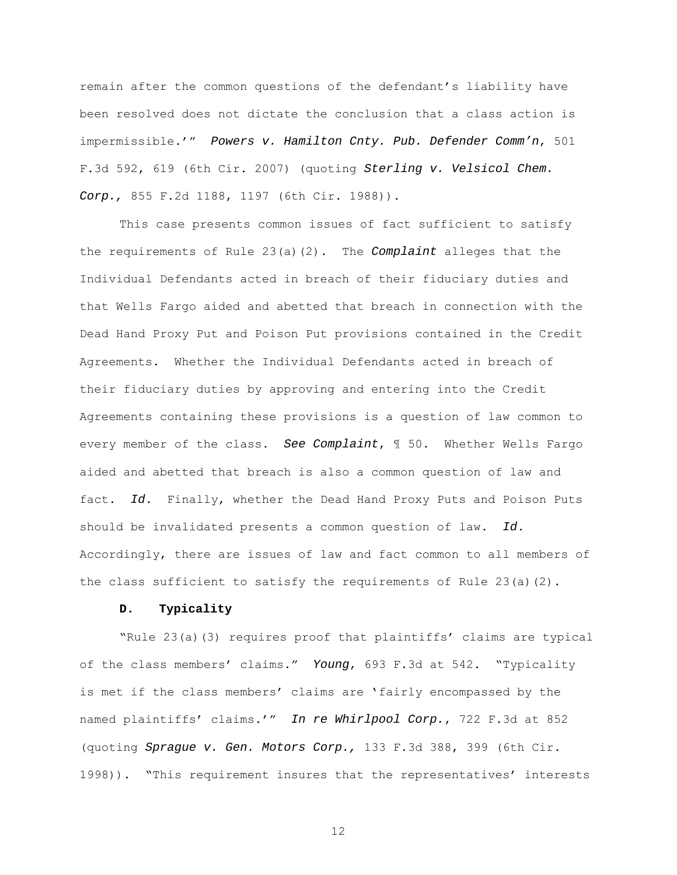remain after the common questions of the defendant's liability have been resolved does not dictate the conclusion that a class action is impermissible.'" Powers v. Hamilton Cnty. Pub. Defender Comm'n, 501 F.3d 592, 619 (6th Cir. 2007) (quoting Sterling v. Velsicol Chem. Corp., 855 F.2d 1188, 1197 (6th Cir. 1988)).

This case presents common issues of fact sufficient to satisfy the requirements of Rule  $23(a)(2)$ . The Complaint alleges that the Individual Defendants acted in breach of their fiduciary duties and that Wells Fargo aided and abetted that breach in connection with the Dead Hand Proxy Put and Poison Put provisions contained in the Credit Agreements. Whether the Individual Defendants acted in breach of their fiduciary duties by approving and entering into the Credit Agreements containing these provisions is a question of law common to every member of the class. See Complaint, ¶ 50. Whether Wells Fargo aided and abetted that breach is also a common question of law and fact. Id. Finally, whether the Dead Hand Proxy Puts and Poison Puts should be invalidated presents a common question of law. Id. Accordingly, there are issues of law and fact common to all members of the class sufficient to satisfy the requirements of Rule  $23$  (a)(2).

### **D. Typicality**

"Rule 23(a)(3) requires proof that plaintiffs' claims are typical of the class members' claims." Young, 693 F.3d at 542. "Typicality is met if the class members' claims are 'fairly encompassed by the named plaintiffs' claims.'" In re Whirlpool Corp., 722 F.3d at 852 (quoting Sprague v. Gen. Motors Corp., 133 F.3d 388, 399 (6th Cir. 1998)). "This requirement insures that the representatives' interests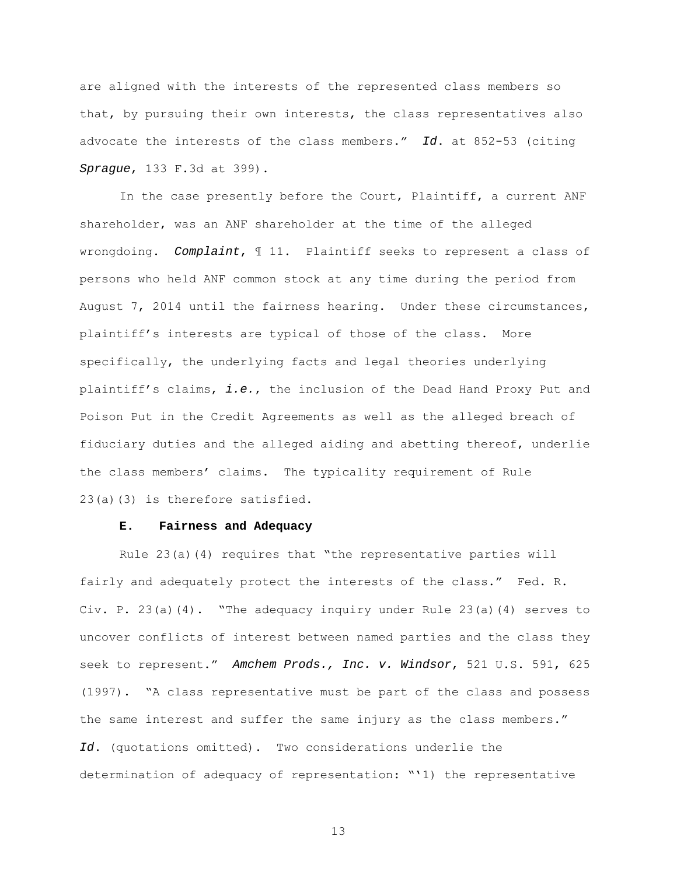are aligned with the interests of the represented class members so that, by pursuing their own interests, the class representatives also advocate the interests of the class members." Id. at 852-53 (citing Sprague, 133 F.3d at 399).

 In the case presently before the Court, Plaintiff, a current ANF shareholder, was an ANF shareholder at the time of the alleged wrongdoing. Complaint, ¶ 11. Plaintiff seeks to represent a class of persons who held ANF common stock at any time during the period from August 7, 2014 until the fairness hearing. Under these circumstances, plaintiff's interests are typical of those of the class. More specifically, the underlying facts and legal theories underlying plaintiff's claims, i.e., the inclusion of the Dead Hand Proxy Put and Poison Put in the Credit Agreements as well as the alleged breach of fiduciary duties and the alleged aiding and abetting thereof, underlie the class members' claims. The typicality requirement of Rule 23(a)(3) is therefore satisfied.

### **E. Fairness and Adequacy**

Rule 23(a)(4) requires that "the representative parties will fairly and adequately protect the interests of the class." Fed. R. Civ. P.  $23(a)(4)$ . "The adequacy inquiry under Rule  $23(a)(4)$  serves to uncover conflicts of interest between named parties and the class they seek to represent." Amchem Prods., Inc. v. Windsor, 521 U.S. 591, 625 (1997). "A class representative must be part of the class and possess the same interest and suffer the same injury as the class members." Id. (quotations omitted). Two considerations underlie the determination of adequacy of representation: "'1) the representative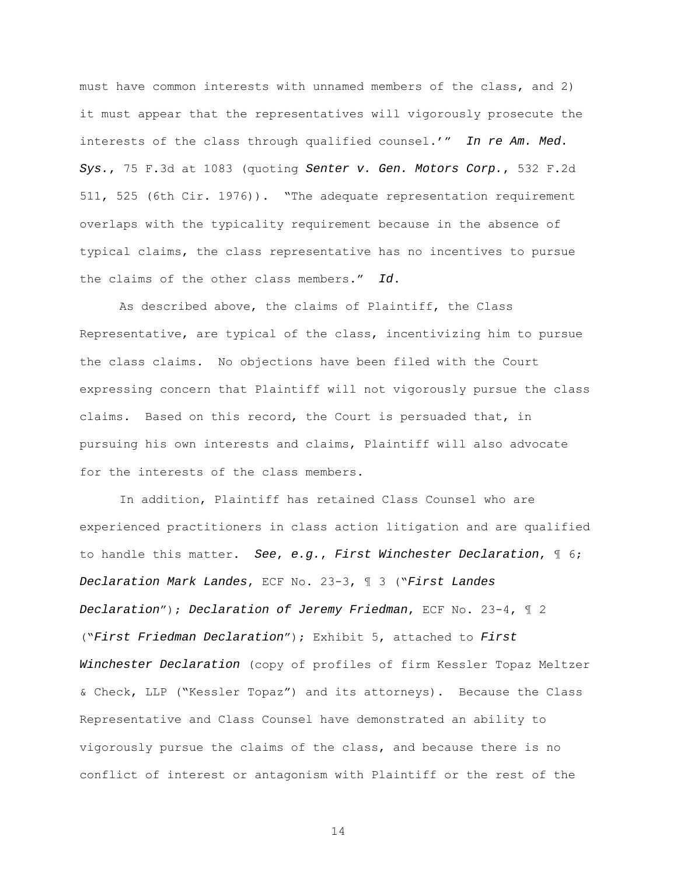must have common interests with unnamed members of the class, and 2) it must appear that the representatives will vigorously prosecute the interests of the class through qualified counsel.'" In re Am. Med.  $Sys.$ , 75 F.3d at 1083 (quoting Senter v. Gen. Motors Corp., 532 F.2d 511, 525 (6th Cir. 1976)). "The adequate representation requirement overlaps with the typicality requirement because in the absence of typical claims, the class representative has no incentives to pursue the claims of the other class members." Id.

As described above, the claims of Plaintiff, the Class Representative, are typical of the class, incentivizing him to pursue the class claims. No objections have been filed with the Court expressing concern that Plaintiff will not vigorously pursue the class claims. Based on this record, the Court is persuaded that, in pursuing his own interests and claims, Plaintiff will also advocate for the interests of the class members.

In addition, Plaintiff has retained Class Counsel who are experienced practitioners in class action litigation and are qualified to handle this matter. See, e.g., First Winchester Declaration,  $\mathbb I$  6; Declaration Mark Landes, ECF No. 23-3, ¶ 3 ("First Landes Declaration"); Declaration of Jeremy Friedman, ECF No. 23-4,  $\mathbb{I}$  2 ("First Friedman Declaration"); Exhibit 5, attached to First Winchester Declaration (copy of profiles of firm Kessler Topaz Meltzer & Check, LLP ("Kessler Topaz") and its attorneys). Because the Class Representative and Class Counsel have demonstrated an ability to vigorously pursue the claims of the class, and because there is no conflict of interest or antagonism with Plaintiff or the rest of the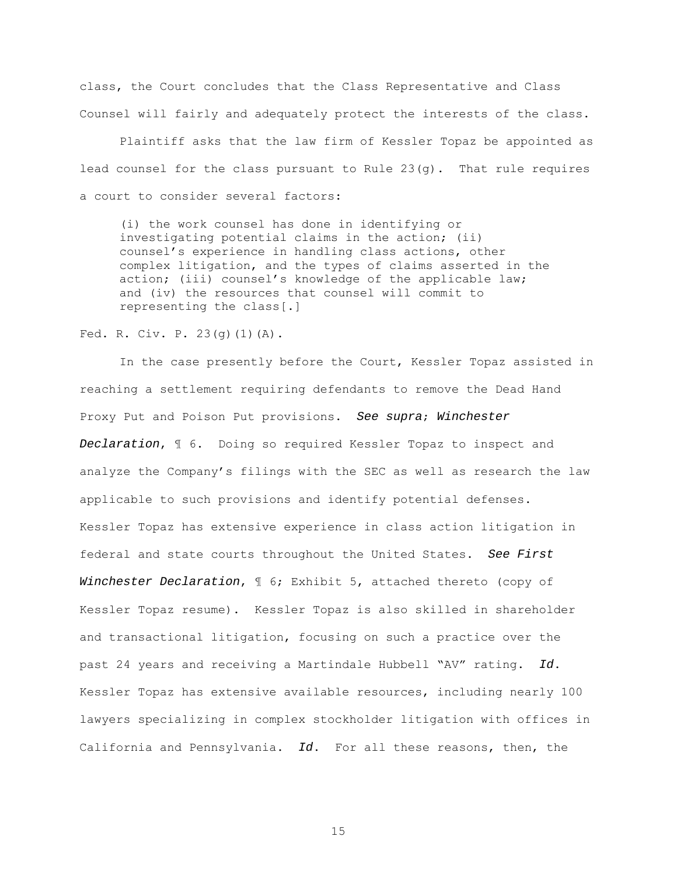class, the Court concludes that the Class Representative and Class Counsel will fairly and adequately protect the interests of the class.

Plaintiff asks that the law firm of Kessler Topaz be appointed as lead counsel for the class pursuant to Rule  $23(q)$ . That rule requires a court to consider several factors:

(i) the work counsel has done in identifying or investigating potential claims in the action; (ii) counsel's experience in handling class actions, other complex litigation, and the types of claims asserted in the action; (iii) counsel's knowledge of the applicable law; and (iv) the resources that counsel will commit to representing the class[.]

# Fed. R. Civ. P. 23(g)(1)(A).

In the case presently before the Court, Kessler Topaz assisted in reaching a settlement requiring defendants to remove the Dead Hand Proxy Put and Poison Put provisions. See supra; Winchester Declaration, ¶ 6. Doing so required Kessler Topaz to inspect and analyze the Company's filings with the SEC as well as research the law applicable to such provisions and identify potential defenses. Kessler Topaz has extensive experience in class action litigation in federal and state courts throughout the United States. See First Winchester Declaration,  $\mathbb I$  6; Exhibit 5, attached thereto (copy of Kessler Topaz resume). Kessler Topaz is also skilled in shareholder and transactional litigation, focusing on such a practice over the past 24 years and receiving a Martindale Hubbell "AV" rating. Id. Kessler Topaz has extensive available resources, including nearly 100 lawyers specializing in complex stockholder litigation with offices in California and Pennsylvania. Id. For all these reasons, then, the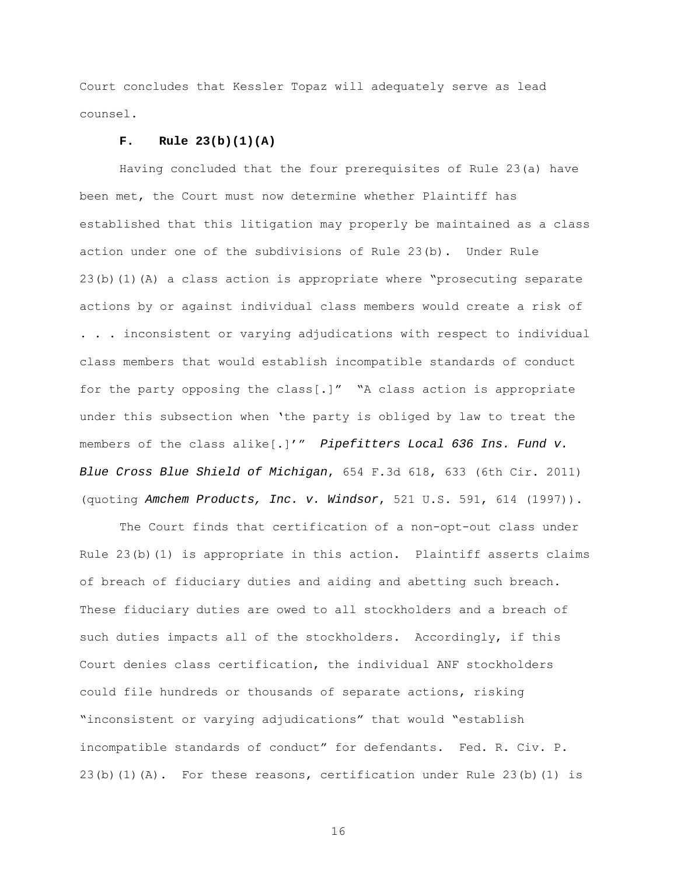Court concludes that Kessler Topaz will adequately serve as lead counsel.

# **F. Rule 23(b)(1)(A)**

 Having concluded that the four prerequisites of Rule 23(a) have been met, the Court must now determine whether Plaintiff has established that this litigation may properly be maintained as a class action under one of the subdivisions of Rule 23(b). Under Rule 23(b)(1)(A) a class action is appropriate where "prosecuting separate actions by or against individual class members would create a risk of . . . inconsistent or varying adjudications with respect to individual class members that would establish incompatible standards of conduct for the party opposing the class[.]" "A class action is appropriate under this subsection when 'the party is obliged by law to treat the members of the class alike[.]'" Pipefitters Local 636 Ins. Fund v. Blue Cross Blue Shield of Michigan, 654 F.3d 618, 633 (6th Cir. 2011) (quoting Amchem Products, Inc. v. Windsor, 521 U.S. 591, 614 (1997)).

 The Court finds that certification of a non-opt-out class under Rule 23(b)(1) is appropriate in this action. Plaintiff asserts claims of breach of fiduciary duties and aiding and abetting such breach. These fiduciary duties are owed to all stockholders and a breach of such duties impacts all of the stockholders. Accordingly, if this Court denies class certification, the individual ANF stockholders could file hundreds or thousands of separate actions, risking "inconsistent or varying adjudications" that would "establish incompatible standards of conduct" for defendants. Fed. R. Civ. P. 23(b)(1)(A). For these reasons, certification under Rule 23(b)(1) is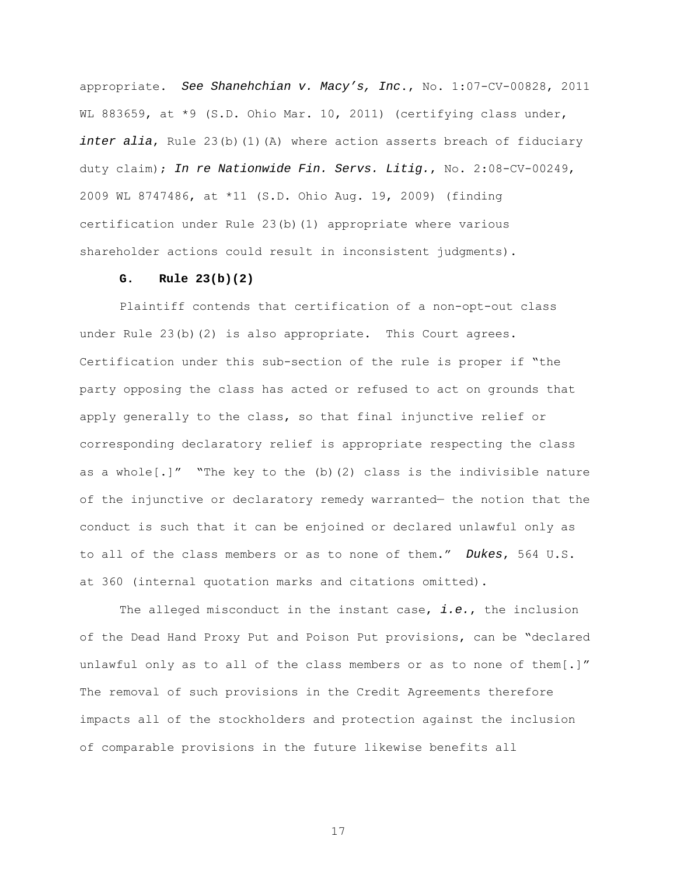appropriate. See Shanehchian v. Macy's, Inc., No. 1:07-CV-00828, 2011 WL 883659, at \*9 (S.D. Ohio Mar. 10, 2011) (certifying class under, inter alia, Rule  $23(b)(1)(A)$  where action asserts breach of fiduciary duty claim); In re Nationwide Fin. Servs. Litig., No. 2:08-CV-00249, 2009 WL 8747486, at \*11 (S.D. Ohio Aug. 19, 2009) (finding certification under Rule 23(b)(1) appropriate where various shareholder actions could result in inconsistent judgments).

# **G. Rule 23(b)(2)**

 Plaintiff contends that certification of a non-opt-out class under Rule 23(b)(2) is also appropriate. This Court agrees. Certification under this sub-section of the rule is proper if "the party opposing the class has acted or refused to act on grounds that apply generally to the class, so that final injunctive relief or corresponding declaratory relief is appropriate respecting the class as a whole $[.]$ " "The key to the (b)(2) class is the indivisible nature of the injunctive or declaratory remedy warranted— the notion that the conduct is such that it can be enjoined or declared unlawful only as to all of the class members or as to none of them." Dukes, 564 U.S. at 360 (internal quotation marks and citations omitted).

The alleged misconduct in the instant case,  $i.e.,$  the inclusion of the Dead Hand Proxy Put and Poison Put provisions, can be "declared unlawful only as to all of the class members or as to none of them[.]" The removal of such provisions in the Credit Agreements therefore impacts all of the stockholders and protection against the inclusion of comparable provisions in the future likewise benefits all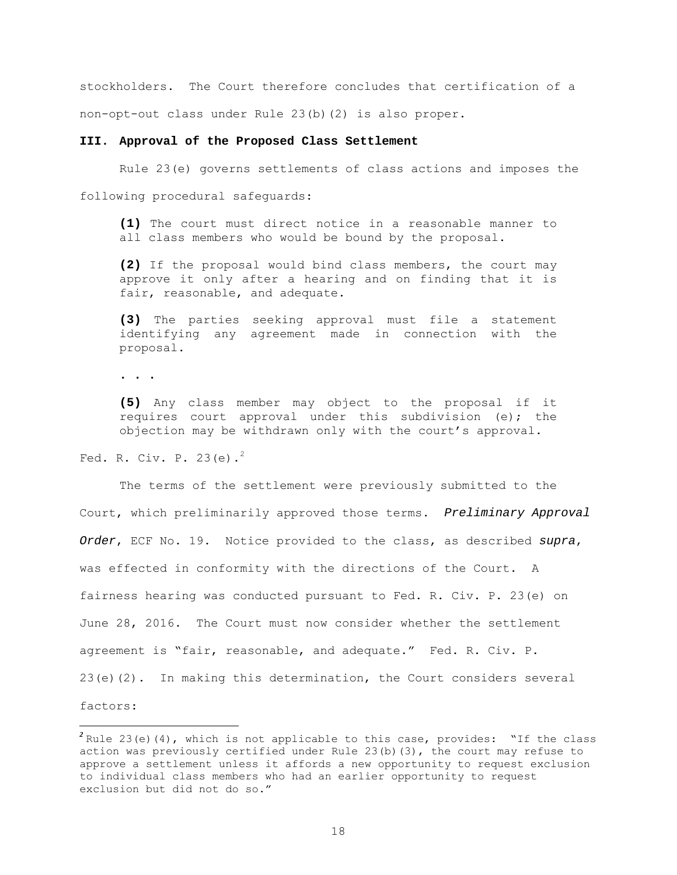stockholders. The Court therefore concludes that certification of a non-opt-out class under Rule 23(b)(2) is also proper.

## **III. Approval of the Proposed Class Settlement**

Rule 23(e) governs settlements of class actions and imposes the

following procedural safeguards:

**(1)** The court must direct notice in a reasonable manner to all class members who would be bound by the proposal.

**(2)** If the proposal would bind class members, the court may approve it only after a hearing and on finding that it is fair, reasonable, and adequate.

**(3)** The parties seeking approval must file a statement identifying any agreement made in connection with the proposal.

**. . .** 

**(5)** Any class member may object to the proposal if it requires court approval under this subdivision (e); the objection may be withdrawn only with the court's approval.

Fed. R. Civ. P.  $23(e)$ .

 The terms of the settlement were previously submitted to the Court, which preliminarily approved those terms. Preliminary Approval Order, ECF No. 19. Notice provided to the class, as described supra, was effected in conformity with the directions of the Court. A fairness hearing was conducted pursuant to Fed. R. Civ. P. 23(e) on June 28, 2016. The Court must now consider whether the settlement agreement is "fair, reasonable, and adequate." Fed. R. Civ. P. 23(e)(2). In making this determination, the Court considers several factors:

*<sup>2</sup>* Rule 23(e)(4), which is not applicable to this case, provides: "If the class action was previously certified under Rule 23(b)(3), the court may refuse to approve a settlement unless it affords a new opportunity to request exclusion to individual class members who had an earlier opportunity to request exclusion but did not do so."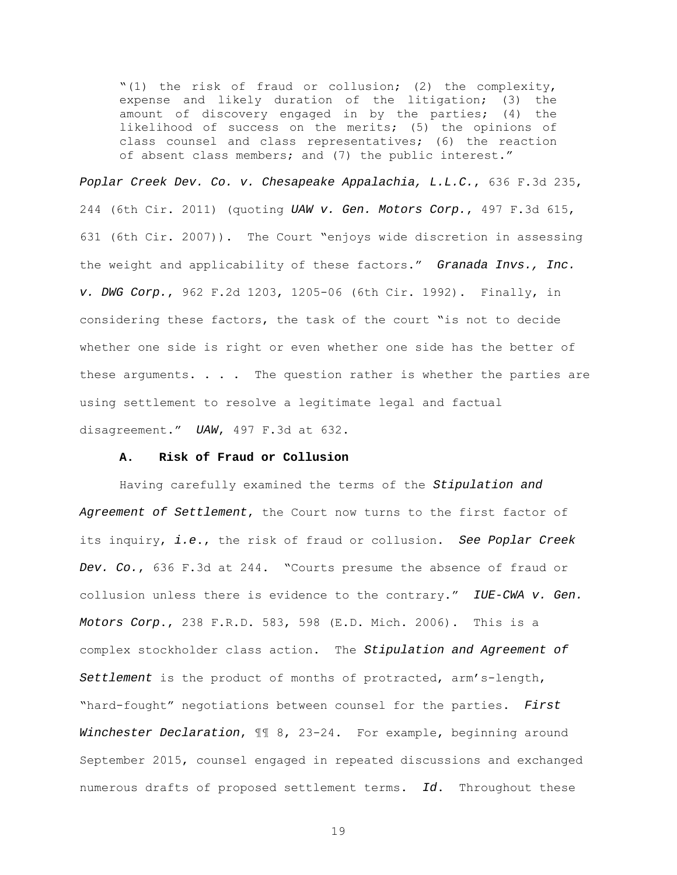"(1) the risk of fraud or collusion; (2) the complexity, expense and likely duration of the litigation; (3) the amount of discovery engaged in by the parties; (4) the likelihood of success on the merits; (5) the opinions of class counsel and class representatives; (6) the reaction of absent class members; and (7) the public interest."

Poplar Creek Dev. Co. v. Chesapeake Appalachia, L.L.C., 636 F.3d 235, 244 (6th Cir. 2011) (quoting UAW v. Gen. Motors Corp., 497 F.3d 615, 631 (6th Cir. 2007)). The Court "enjoys wide discretion in assessing the weight and applicability of these factors." Granada Invs., Inc. v. DWG Corp., 962 F.2d 1203, 1205-06 (6th Cir. 1992). Finally, in considering these factors, the task of the court "is not to decide whether one side is right or even whether one side has the better of these arguments.  $\ldots$  . The question rather is whether the parties are using settlement to resolve a legitimate legal and factual disagreement." UAW, 497 F.3d at 632.

# **A. Risk of Fraud or Collusion**

Having carefully examined the terms of the Stipulation and Agreement of Settlement, the Court now turns to the first factor of its inquiry, i.e., the risk of fraud or collusion. See Poplar Creek Dev. Co., 636 F.3d at 244. "Courts presume the absence of fraud or collusion unless there is evidence to the contrary." IUE-CWA v. Gen. Motors Corp., 238 F.R.D. 583, 598 (E.D. Mich. 2006). This is a complex stockholder class action. The Stipulation and Agreement of Settlement is the product of months of protracted, arm's-length, "hard-fought" negotiations between counsel for the parties. First Winchester Declaration,  $\mathbb{II}$  8, 23-24. For example, beginning around September 2015, counsel engaged in repeated discussions and exchanged numerous drafts of proposed settlement terms. Id. Throughout these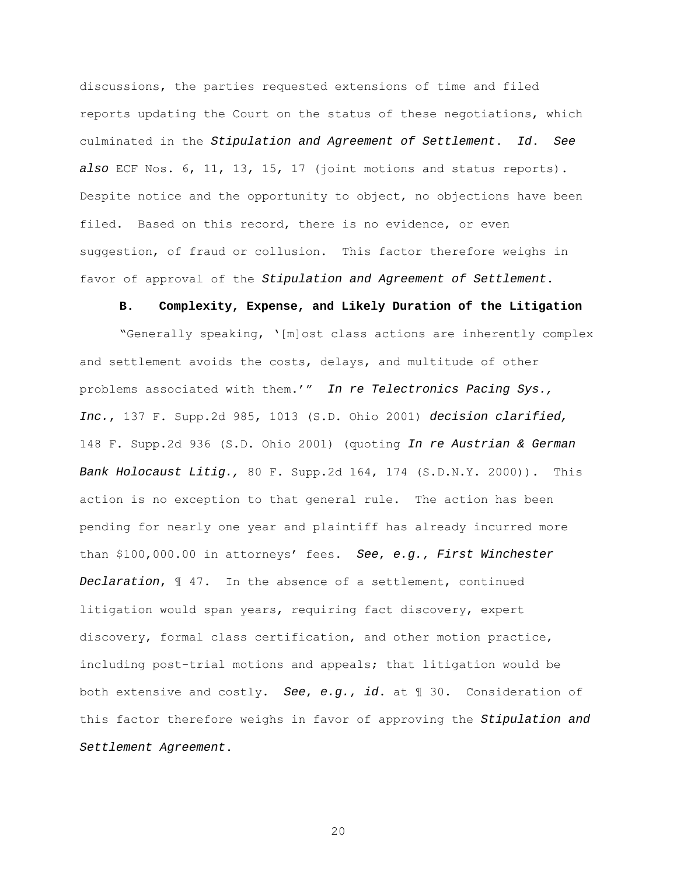discussions, the parties requested extensions of time and filed reports updating the Court on the status of these negotiations, which culminated in the Stipulation and Agreement of Settlement. Id. See also ECF Nos. 6, 11, 13, 15, 17 (joint motions and status reports). Despite notice and the opportunity to object, no objections have been filed. Based on this record, there is no evidence, or even suggestion, of fraud or collusion. This factor therefore weighs in favor of approval of the Stipulation and Agreement of Settlement.

#### **B. Complexity, Expense, and Likely Duration of the Litigation**

"Generally speaking, '[m]ost class actions are inherently complex and settlement avoids the costs, delays, and multitude of other problems associated with them.'" In re Telectronics Pacing Sys., Inc., 137 F. Supp.2d 985, 1013 (S.D. Ohio 2001) decision clarified, 148 F. Supp.2d 936 (S.D. Ohio 2001) (quoting In re Austrian & German Bank Holocaust Litig., 80 F. Supp.2d 164, 174 (S.D.N.Y. 2000)). This action is no exception to that general rule. The action has been pending for nearly one year and plaintiff has already incurred more than  $$100,000.00$  in attorneys' fees. See, e.g., First Winchester Declaration, ¶ 47. In the absence of a settlement, continued litigation would span years, requiring fact discovery, expert discovery, formal class certification, and other motion practice, including post-trial motions and appeals; that litigation would be both extensive and costly. See, e.g., id. at 1 30. Consideration of this factor therefore weighs in favor of approving the Stipulation and Settlement Agreement.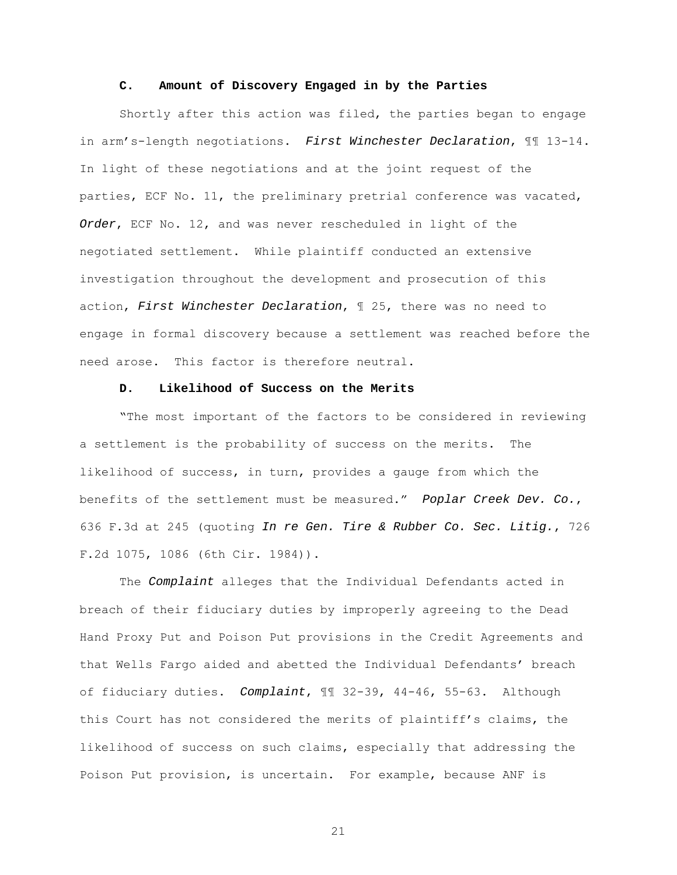### **C. Amount of Discovery Engaged in by the Parties**

 Shortly after this action was filed, the parties began to engage in arm's-length negotiations. First Winchester Declaration,  $\mathbb{I}$  13-14. In light of these negotiations and at the joint request of the parties, ECF No. 11, the preliminary pretrial conference was vacated, Order, ECF No. 12, and was never rescheduled in light of the negotiated settlement. While plaintiff conducted an extensive investigation throughout the development and prosecution of this action, First Winchester Declaration, ¶ 25, there was no need to engage in formal discovery because a settlement was reached before the need arose. This factor is therefore neutral.

# **D. Likelihood of Success on the Merits**

"The most important of the factors to be considered in reviewing a settlement is the probability of success on the merits. The likelihood of success, in turn, provides a gauge from which the benefits of the settlement must be measured." Poplar Creek Dev. Co., 636 F.3d at 245 (quoting In re Gen. Tire & Rubber Co. Sec. Litig., 726 F.2d 1075, 1086 (6th Cir. 1984)).

The Complaint alleges that the Individual Defendants acted in breach of their fiduciary duties by improperly agreeing to the Dead Hand Proxy Put and Poison Put provisions in the Credit Agreements and that Wells Fargo aided and abetted the Individual Defendants' breach of fiduciary duties. Complaint, ¶¶ 32-39, 44-46, 55-63. Although this Court has not considered the merits of plaintiff's claims, the likelihood of success on such claims, especially that addressing the Poison Put provision, is uncertain. For example, because ANF is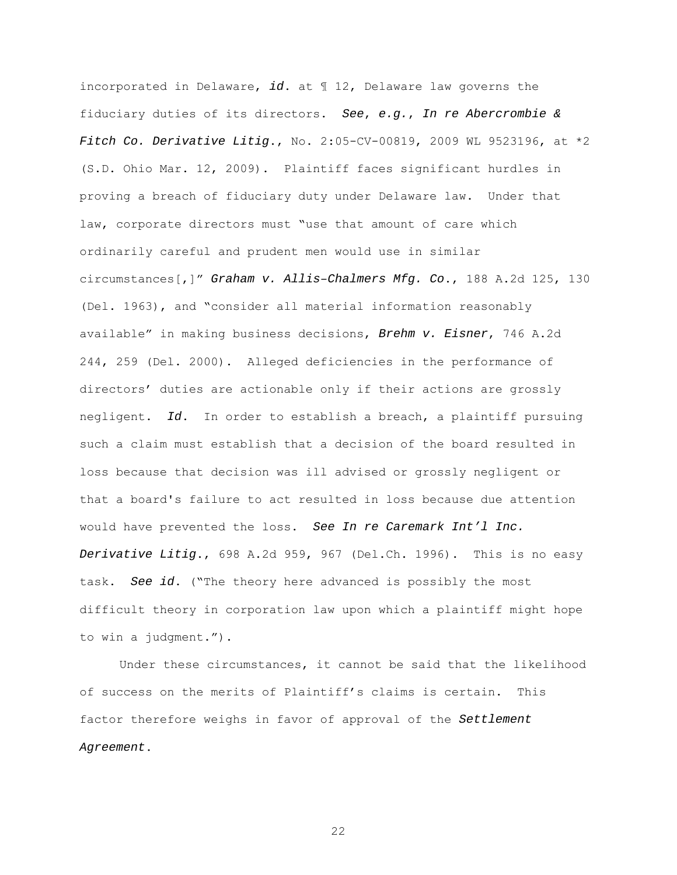incorporated in Delaware, id. at  $\mathbb{I}$  12, Delaware law governs the fiduciary duties of its directors. See, e.g., In re Abercrombie  $\&$ Fitch Co. Derivative Litig., No. 2:05-CV-00819, 2009 WL 9523196, at \*2 (S.D. Ohio Mar. 12, 2009). Plaintiff faces significant hurdles in proving a breach of fiduciary duty under Delaware law. Under that law, corporate directors must "use that amount of care which ordinarily careful and prudent men would use in similar circumstances[,]" Graham v. Allis–Chalmers Mfg. Co., 188 A.2d 125, 130 (Del. 1963), and "consider all material information reasonably available" in making business decisions, Brehm v. Eisner, 746 A.2d 244, 259 (Del. 2000). Alleged deficiencies in the performance of directors' duties are actionable only if their actions are grossly negligent. Id. In order to establish a breach, a plaintiff pursuing such a claim must establish that a decision of the board resulted in loss because that decision was ill advised or grossly negligent or that a board's failure to act resulted in loss because due attention would have prevented the loss. See In re Caremark Int'l Inc. Derivative Litig., 698 A.2d 959, 967 (Del.Ch. 1996). This is no easy task. See id. ("The theory here advanced is possibly the most difficult theory in corporation law upon which a plaintiff might hope to win a judgment.").

Under these circumstances, it cannot be said that the likelihood of success on the merits of Plaintiff's claims is certain. This factor therefore weighs in favor of approval of the Settlement Agreement.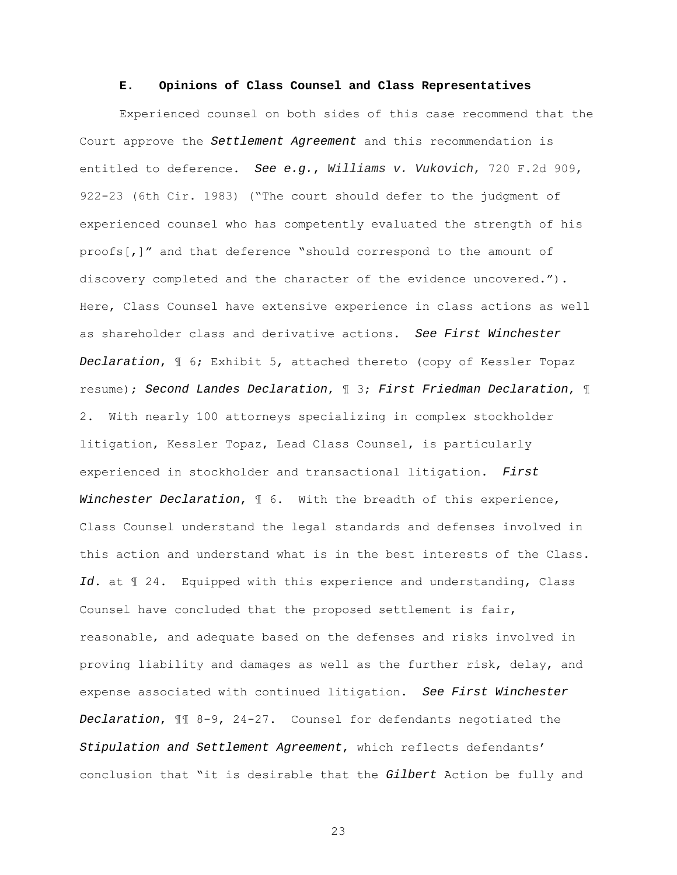### **E. Opinions of Class Counsel and Class Representatives**

Experienced counsel on both sides of this case recommend that the Court approve the Settlement Agreement and this recommendation is entitled to deference. See e.g., Williams v. Vukovich, 720 F.2d 909, 922-23 (6th Cir. 1983) ("The court should defer to the judgment of experienced counsel who has competently evaluated the strength of his proofs[,]" and that deference "should correspond to the amount of discovery completed and the character of the evidence uncovered."). Here, Class Counsel have extensive experience in class actions as well as shareholder class and derivative actions. See First Winchester Declaration, ¶ 6; Exhibit 5, attached thereto (copy of Kessler Topaz resume); Second Landes Declaration, ¶ 3; First Friedman Declaration, ¶ 2. With nearly 100 attorneys specializing in complex stockholder litigation, Kessler Topaz, Lead Class Counsel, is particularly experienced in stockholder and transactional litigation. First Winchester Declaration,  $\mathbb I$  6. With the breadth of this experience, Class Counsel understand the legal standards and defenses involved in this action and understand what is in the best interests of the Class. Id. at  $\mathbb I$  24. Equipped with this experience and understanding, Class Counsel have concluded that the proposed settlement is fair, reasonable, and adequate based on the defenses and risks involved in proving liability and damages as well as the further risk, delay, and expense associated with continued litigation. See First Winchester Declaration, ¶¶ 8-9, 24-27. Counsel for defendants negotiated the Stipulation and Settlement Agreement, which reflects defendants' conclusion that "it is desirable that the Gilbert Action be fully and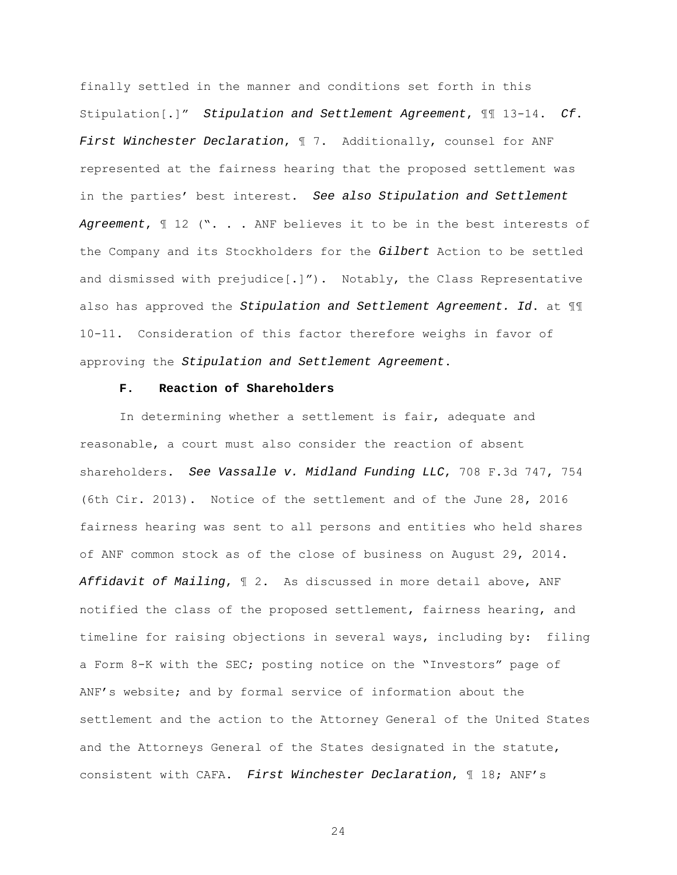finally settled in the manner and conditions set forth in this Stipulation[.]" Stipulation and Settlement Agreement, ¶¶ 13-14. Cf. First Winchester Declaration,  $\mathbb I$  7. Additionally, counsel for ANF represented at the fairness hearing that the proposed settlement was in the parties' best interest. See also Stipulation and Settlement Agreement,  $\mathbb{I}$  12 ("... ANF believes it to be in the best interests of the Company and its Stockholders for the Gilbert Action to be settled and dismissed with prejudice[.]"). Notably, the Class Representative also has approved the Stipulation and Settlement Agreement. Id. at  $\mathbb{II}$ 10-11. Consideration of this factor therefore weighs in favor of approving the Stipulation and Settlement Agreement.

# **F. Reaction of Shareholders**

In determining whether a settlement is fair, adequate and reasonable, a court must also consider the reaction of absent shareholders. See Vassalle v. Midland Funding LLC, 708 F.3d 747, 754 (6th Cir. 2013). Notice of the settlement and of the June 28, 2016 fairness hearing was sent to all persons and entities who held shares of ANF common stock as of the close of business on August 29, 2014. Affidavit of Mailing, ¶ 2. As discussed in more detail above, ANF notified the class of the proposed settlement, fairness hearing, and timeline for raising objections in several ways, including by: filing a Form 8-K with the SEC; posting notice on the "Investors" page of ANF's website; and by formal service of information about the settlement and the action to the Attorney General of the United States and the Attorneys General of the States designated in the statute, consistent with CAFA. First Winchester Declaration, ¶ 18; ANF's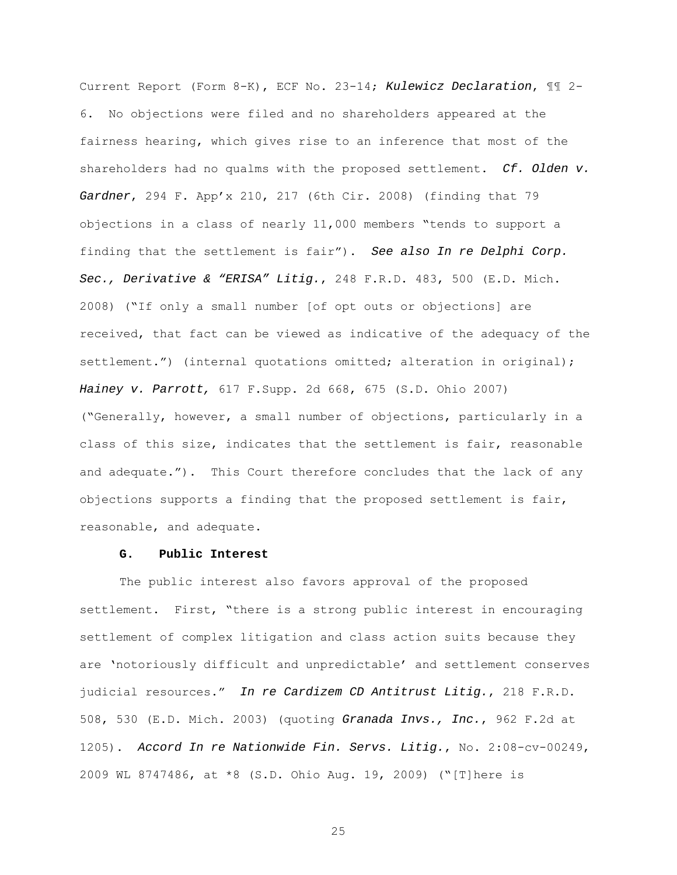Current Report (Form 8-K), ECF No. 23-14; Kulewicz Declaration, ¶¶ 2- 6. No objections were filed and no shareholders appeared at the fairness hearing, which gives rise to an inference that most of the shareholders had no qualms with the proposed settlement.  $Cf$ . Olden  $v$ . Gardner, 294 F. App'x 210, 217 (6th Cir. 2008) (finding that 79 objections in a class of nearly 11,000 members "tends to support a finding that the settlement is fair"). See also In re Delphi Corp. Sec., Derivative & "ERISA" Litig., 248 F.R.D. 483, 500 (E.D. Mich. 2008) ("If only a small number [of opt outs or objections] are received, that fact can be viewed as indicative of the adequacy of the settlement.") (internal quotations omitted; alteration in original); Hainey v. Parrott, 617 F.Supp. 2d 668, 675 (S.D. Ohio 2007) ("Generally, however, a small number of objections, particularly in a class of this size, indicates that the settlement is fair, reasonable and adequate."). This Court therefore concludes that the lack of any objections supports a finding that the proposed settlement is fair, reasonable, and adequate.

# **G. Public Interest**

The public interest also favors approval of the proposed settlement. First, "there is a strong public interest in encouraging settlement of complex litigation and class action suits because they are 'notoriously difficult and unpredictable' and settlement conserves judicial resources." In re Cardizem CD Antitrust Litig., 218 F.R.D. 508, 530 (E.D. Mich. 2003) (quoting Granada Invs., Inc., 962 F.2d at 1205). Accord In re Nationwide Fin. Servs. Litig., No. 2:08-cv-00249, 2009 WL 8747486, at \*8 (S.D. Ohio Aug. 19, 2009) ("[T]here is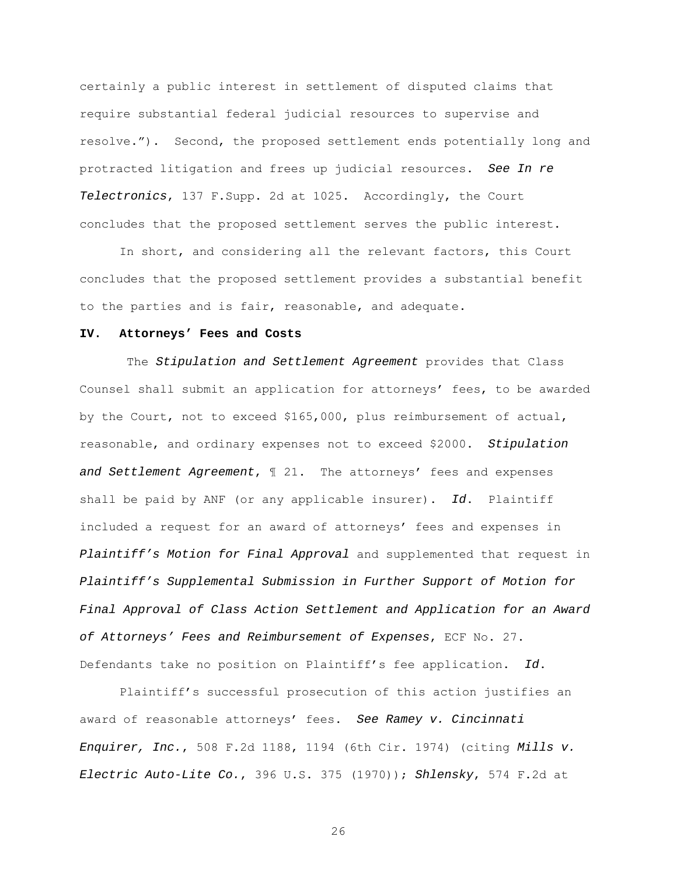certainly a public interest in settlement of disputed claims that require substantial federal judicial resources to supervise and resolve."). Second, the proposed settlement ends potentially long and protracted litigation and frees up judicial resources. See In re Telectronics, 137 F.Supp. 2d at 1025. Accordingly, the Court concludes that the proposed settlement serves the public interest.

 In short, and considering all the relevant factors, this Court concludes that the proposed settlement provides a substantial benefit to the parties and is fair, reasonable, and adequate.

## **IV. Attorneys' Fees and Costs**

The Stipulation and Settlement Agreement provides that Class Counsel shall submit an application for attorneys' fees, to be awarded by the Court, not to exceed \$165,000, plus reimbursement of actual, reasonable, and ordinary expenses not to exceed \$2000. Stipulation and Settlement Agreement,  $\mathbb I$  21. The attorneys' fees and expenses shall be paid by ANF (or any applicable insurer). Id. Plaintiff included a request for an award of attorneys' fees and expenses in Plaintiff's Motion for Final Approval and supplemented that request in Plaintiff's Supplemental Submission in Further Support of Motion for Final Approval of Class Action Settlement and Application for an Award of Attorneys' Fees and Reimbursement of Expenses, ECF No. 27. Defendants take no position on Plaintiff's fee application. Id.

Plaintiff's successful prosecution of this action justifies an award of reasonable attorneys' fees. See Ramey v. Cincinnati Enquirer, Inc., 508 F.2d 1188, 1194 (6th Cir. 1974) (citing Mills v. Electric Auto-Lite Co., 396 U.S. 375  $(1970)$ ); Shlensky, 574 F.2d at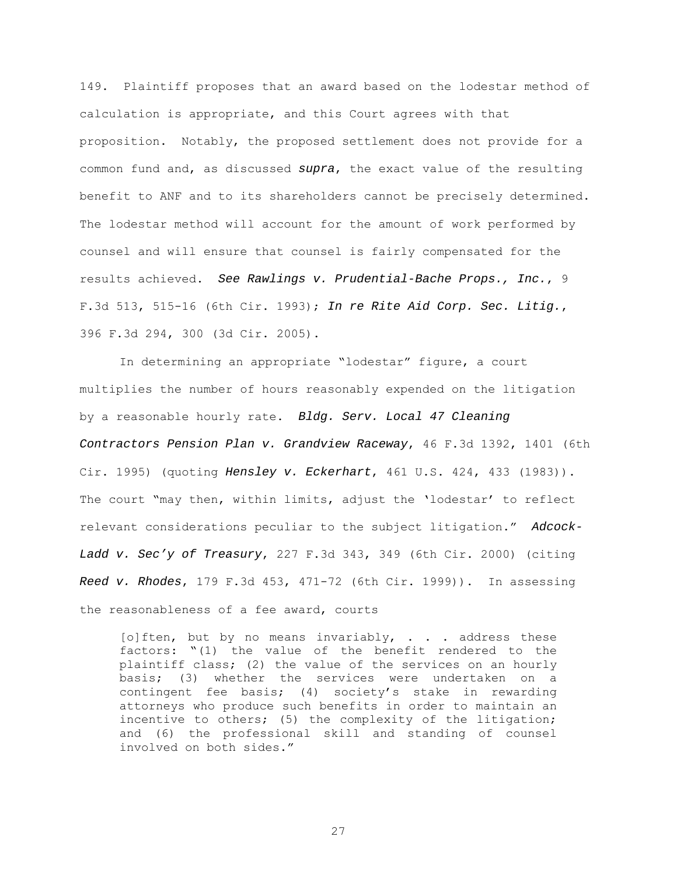149. Plaintiff proposes that an award based on the lodestar method of calculation is appropriate, and this Court agrees with that proposition. Notably, the proposed settlement does not provide for a common fund and, as discussed supra, the exact value of the resulting benefit to ANF and to its shareholders cannot be precisely determined. The lodestar method will account for the amount of work performed by counsel and will ensure that counsel is fairly compensated for the results achieved. See Rawlings v. Prudential-Bache Props., Inc., 9 F.3d 513, 515-16 (6th Cir. 1993); In re Rite Aid Corp. Sec. Litig., 396 F.3d 294, 300 (3d Cir. 2005).

 In determining an appropriate "lodestar" figure, a court multiplies the number of hours reasonably expended on the litigation by a reasonable hourly rate. Bldg. Serv. Local 47 Cleaning Contractors Pension Plan v. Grandview Raceway, 46 F.3d 1392, 1401 (6th Cir. 1995) (quoting Hensley v. Eckerhart, 461 U.S. 424, 433 (1983)). The court "may then, within limits, adjust the 'lodestar' to reflect relevant considerations peculiar to the subject litigation." Adcock-Ladd v. Sec'y of Treasury, 227 F.3d 343, 349 (6th Cir. 2000) (citing Reed v. Rhodes, 179 F.3d 453, 471-72 (6th Cir. 1999)). In assessing the reasonableness of a fee award, courts

[o]ften, but by no means invariably,  $\ldots$  address these factors: "(1) the value of the benefit rendered to the plaintiff class; (2) the value of the services on an hourly basis; (3) whether the services were undertaken on a contingent fee basis; (4) society's stake in rewarding attorneys who produce such benefits in order to maintain an incentive to others; (5) the complexity of the litigation; and (6) the professional skill and standing of counsel involved on both sides."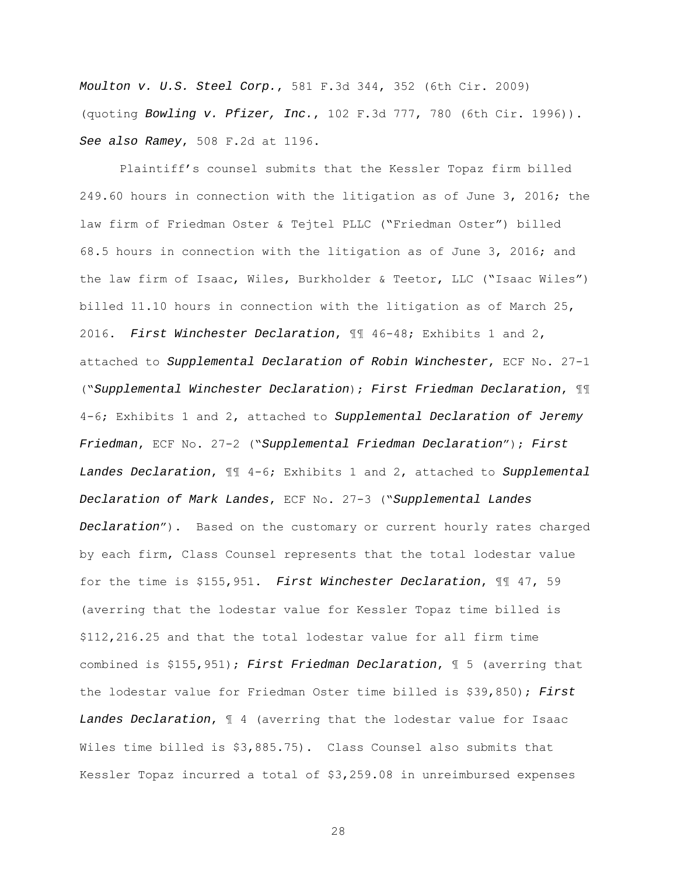Moulton v. U.S. Steel Corp., 581 F.3d 344, 352 (6th Cir. 2009) (quoting Bowling v. Pfizer, Inc., 102 F.3d 777, 780 (6th Cir. 1996)). See also Ramey, 508 F.2d at 1196.

Plaintiff's counsel submits that the Kessler Topaz firm billed 249.60 hours in connection with the litigation as of June 3, 2016; the law firm of Friedman Oster & Tejtel PLLC ("Friedman Oster") billed 68.5 hours in connection with the litigation as of June 3, 2016; and the law firm of Isaac, Wiles, Burkholder & Teetor, LLC ("Isaac Wiles") billed 11.10 hours in connection with the litigation as of March 25, 2016. First Winchester Declaration, ¶¶ 46-48; Exhibits 1 and 2, attached to Supplemental Declaration of Robin Winchester, ECF No. 27-1 ("Supplemental Winchester Declaration); First Friedman Declaration, ¶¶ 4-6; Exhibits 1 and 2, attached to Supplemental Declaration of Jeremy Friedman, ECF No. 27-2 ("Supplemental Friedman Declaration"); First Landes Declaration,  $\mathbb{I}$  4-6; Exhibits 1 and 2, attached to Supplemental Declaration of Mark Landes, ECF No. 27-3 ("Supplemental Landes Declaration"). Based on the customary or current hourly rates charged by each firm, Class Counsel represents that the total lodestar value for the time is \$155,951. First Winchester Declaration, ¶¶ 47, 59 (averring that the lodestar value for Kessler Topaz time billed is \$112,216.25 and that the total lodestar value for all firm time combined is  $$155,951)$ ; First Friedman Declaration,  $$5$  (averring that the lodestar value for Friedman Oster time billed is \$39,850); First Landes Declaration,  $\mathbb I$  4 (averring that the lodestar value for Isaac Wiles time billed is \$3,885.75). Class Counsel also submits that Kessler Topaz incurred a total of \$3,259.08 in unreimbursed expenses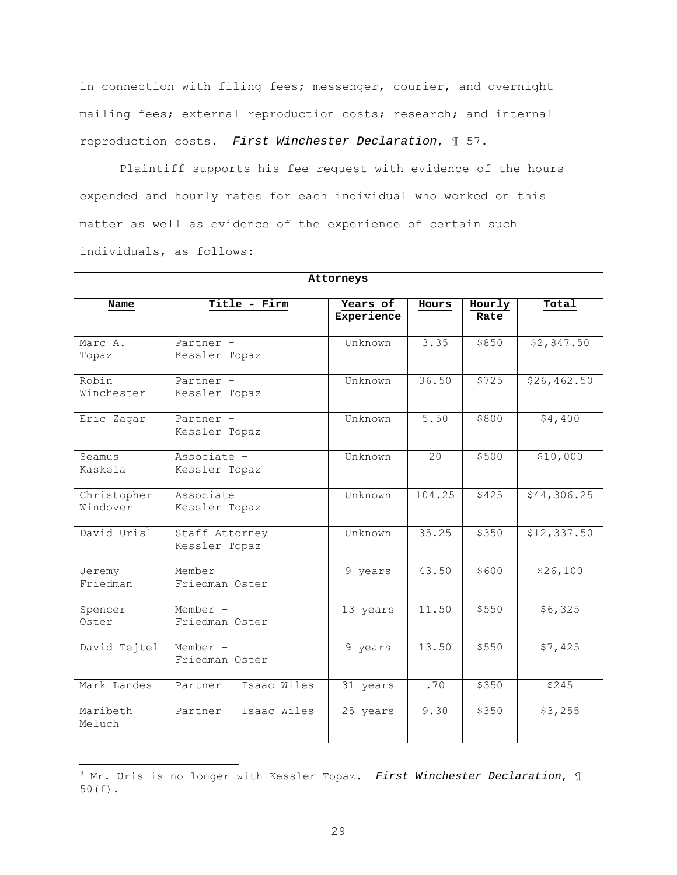in connection with filing fees; messenger, courier, and overnight mailing fees; external reproduction costs; research; and internal reproduction costs. First Winchester Declaration, ¶ 57.

 Plaintiff supports his fee request with evidence of the hours expended and hourly rates for each individual who worked on this matter as well as evidence of the experience of certain such individuals, as follows:

| Attorneys               |                                   |                        |        |                |             |
|-------------------------|-----------------------------------|------------------------|--------|----------------|-------------|
| Name                    | Title - Firm                      | Years of<br>Experience | Hours  | Hourly<br>Rate | Total       |
| Marc A.<br>Topaz        | Partner -<br>Kessler Topaz        | Unknown                | 3.35   | \$850          | \$2,847.50  |
| Robin<br>Winchester     | Partner -<br>Kessler Topaz        | Unknown                | 36.50  | \$725          | \$26,462.50 |
| Eric Zagar              | Partner -<br>Kessler Topaz        | Unknown                | 5.50   | \$800          | \$4,400     |
| Seamus<br>Kaskela       | Associate -<br>Kessler Topaz      | Unknown                | 20     | \$500          | \$10,000    |
| Christopher<br>Windover | Associate -<br>Kessler Topaz      | Unknown                | 104.25 | \$425          | \$44,306.25 |
| David Uris <sup>3</sup> | Staff Attorney -<br>Kessler Topaz | Unknown                | 35.25  | \$350          | \$12,337.50 |
| Jeremy<br>Friedman      | Member $-$<br>Friedman Oster      | 9 years                | 43.50  | \$600          | \$26,100    |
| Spencer<br>Oster        | Member $-$<br>Friedman Oster      | 13 years               | 11.50  | \$550          | \$6,325     |
| David Tejtel            | Member -<br>Friedman Oster        | 9 years                | 13.50  | \$550          | \$7,425     |
| Mark Landes             | Partner - Isaac Wiles             | 31 years               | .70    | \$350          | \$245       |
| Maribeth<br>Meluch      | Partner - Isaac Wiles             | 25 years               | 9.30   | \$350          | \$3,255     |

 $^3$  Mr. Uris is no longer with Kessler Topaz. First Winchester Declaration,  $\mathbb I$ 50(f).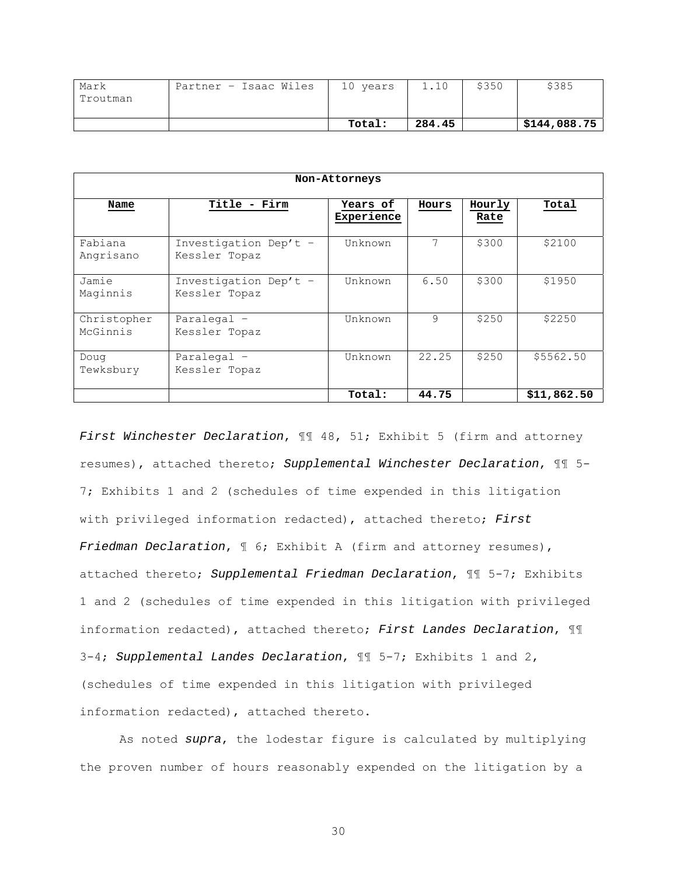| Mark     | Partner - Isaac Wiles | 10 years |        | \$350 | \$385        |
|----------|-----------------------|----------|--------|-------|--------------|
| Troutman |                       |          |        |       |              |
|          |                       |          |        |       |              |
|          |                       | Total:   | 284.45 |       | \$144,088.75 |

| Non-Attorneys           |                                        |                        |       |                |             |
|-------------------------|----------------------------------------|------------------------|-------|----------------|-------------|
| Name                    | Title - Firm                           | Years of<br>Experience | Hours | Hourly<br>Rate | Total       |
| Fabiana<br>Angrisano    | Investigation Dep't -<br>Kessler Topaz | Unknown                | 7     | \$300          | \$2100      |
| Jamie<br>Maginnis       | Investigation Dep't -<br>Kessler Topaz | Unknown                | 6.50  | \$300          | \$1950      |
| Christopher<br>McGinnis | Paralegal -<br>Kessler Topaz           | Unknown                | 9     | \$250          | \$2250      |
| Doug<br>Tewksbury       | Paralegal -<br>Kessler Topaz           | Unknown                | 22.25 | \$250          | \$5562.50   |
|                         |                                        | Total:                 | 44.75 |                | \$11,862.50 |

First Winchester Declaration,  $\P$  48, 51; Exhibit 5 (firm and attorney resumes), attached thereto; Supplemental Winchester Declaration, ¶¶ 5- 7; Exhibits 1 and 2 (schedules of time expended in this litigation with privileged information redacted), attached thereto; First Friedman Declaration,  $\mathbb I$  6; Exhibit A (firm and attorney resumes), attached thereto; Supplemental Friedman Declaration, ¶¶ 5-7; Exhibits 1 and 2 (schedules of time expended in this litigation with privileged information redacted), attached thereto; First Landes Declaration,  $\mathbb{II}$ 3-4; Supplemental Landes Declaration, ¶¶ 5-7; Exhibits 1 and 2, (schedules of time expended in this litigation with privileged information redacted), attached thereto.

 As noted supra, the lodestar figure is calculated by multiplying the proven number of hours reasonably expended on the litigation by a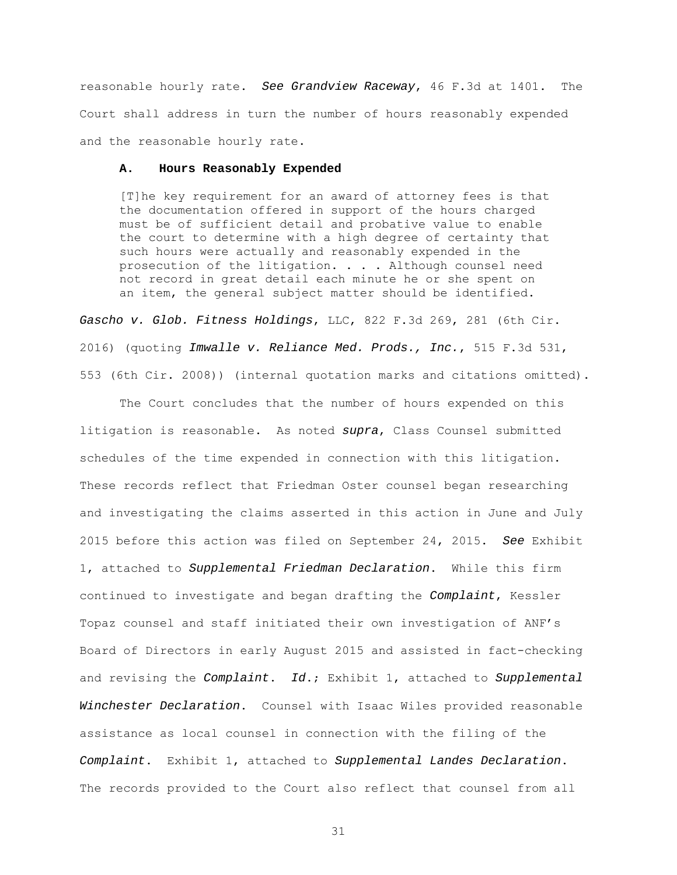reasonable hourly rate. See Grandview Raceway, 46 F.3d at 1401. The Court shall address in turn the number of hours reasonably expended and the reasonable hourly rate.

#### **A. Hours Reasonably Expended**

[T]he key requirement for an award of attorney fees is that the documentation offered in support of the hours charged must be of sufficient detail and probative value to enable the court to determine with a high degree of certainty that such hours were actually and reasonably expended in the prosecution of the litigation. . . . Although counsel need not record in great detail each minute he or she spent on an item, the general subject matter should be identified.

Gascho v. Glob. Fitness Holdings, LLC, 822 F.3d 269, 281 (6th Cir. 2016) (quoting Imwalle v. Reliance Med. Prods., Inc., 515 F.3d 531, 553 (6th Cir. 2008)) (internal quotation marks and citations omitted).

The Court concludes that the number of hours expended on this litigation is reasonable. As noted supra, Class Counsel submitted schedules of the time expended in connection with this litigation. These records reflect that Friedman Oster counsel began researching and investigating the claims asserted in this action in June and July 2015 before this action was filed on September 24, 2015. See Exhibit 1, attached to Supplemental Friedman Declaration. While this firm continued to investigate and began drafting the Complaint, Kessler Topaz counsel and staff initiated their own investigation of ANF's Board of Directors in early August 2015 and assisted in fact-checking and revising the Complaint.  $Id.$ ; Exhibit 1, attached to Supplemental Winchester Declaration. Counsel with Isaac Wiles provided reasonable assistance as local counsel in connection with the filing of the Complaint. Exhibit 1, attached to Supplemental Landes Declaration. The records provided to the Court also reflect that counsel from all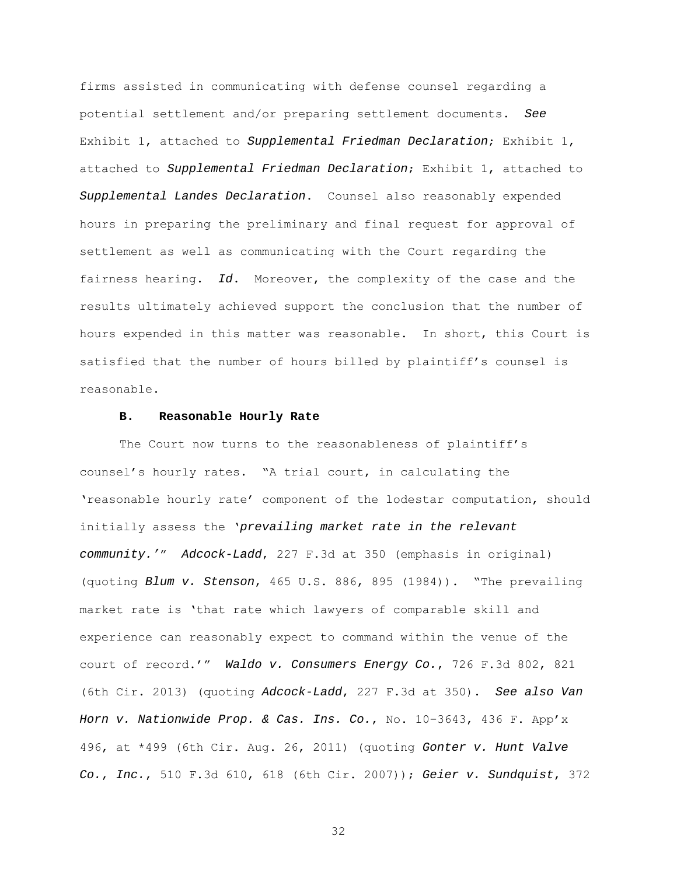firms assisted in communicating with defense counsel regarding a potential settlement and/or preparing settlement documents. See Exhibit 1, attached to Supplemental Friedman Declaration; Exhibit 1, attached to Supplemental Friedman Declaration; Exhibit 1, attached to Supplemental Landes Declaration. Counsel also reasonably expended hours in preparing the preliminary and final request for approval of settlement as well as communicating with the Court regarding the fairness hearing. Id. Moreover, the complexity of the case and the results ultimately achieved support the conclusion that the number of hours expended in this matter was reasonable. In short, this Court is satisfied that the number of hours billed by plaintiff's counsel is reasonable.

### **B. Reasonable Hourly Rate**

The Court now turns to the reasonableness of plaintiff's counsel's hourly rates. "A trial court, in calculating the 'reasonable hourly rate' component of the lodestar computation, should initially assess the 'prevailing market rate in the relevant community.'" Adcock-Ladd, 227 F.3d at 350 (emphasis in original) (quoting Blum v. Stenson, 465 U.S. 886, 895 (1984)). "The prevailing market rate is 'that rate which lawyers of comparable skill and experience can reasonably expect to command within the venue of the court of record.'" Waldo v. Consumers Energy Co., 726 F.3d 802, 821 (6th Cir. 2013) (quoting Adcock-Ladd, 227 F.3d at 350). See also Van Horn v. Nationwide Prop. & Cas. Ins. Co., No. 10–3643, 436 F. App'x 496, at \*499 (6th Cir. Aug. 26, 2011) (quoting Gonter v. Hunt Valve Co., Inc., 510 F.3d 610, 618 (6th Cir. 2007)); Geier v. Sundquist, 372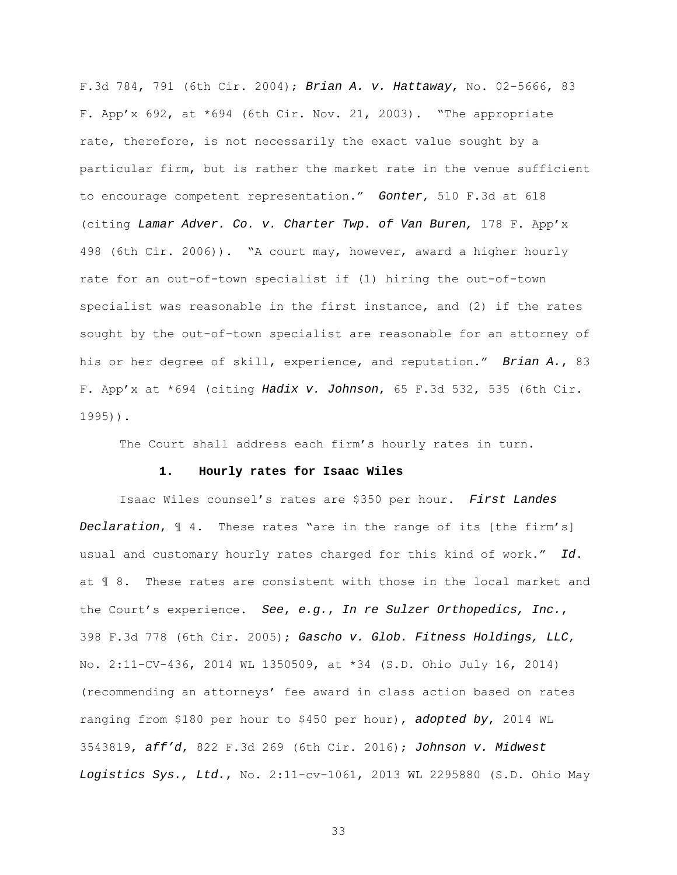F.3d 784, 791 (6th Cir. 2004); Brian A. v. Hattaway, No. 02-5666, 83 F. App'x 692, at  $*694$  (6th Cir. Nov. 21, 2003). "The appropriate rate, therefore, is not necessarily the exact value sought by a particular firm, but is rather the market rate in the venue sufficient to encourage competent representation." Gonter, 510 F.3d at 618 (citing Lamar Adver. Co. v. Charter Twp. of Van Buren, 178 F. App'x 498 (6th Cir. 2006)). "A court may, however, award a higher hourly rate for an out-of-town specialist if (1) hiring the out-of-town specialist was reasonable in the first instance, and (2) if the rates sought by the out-of-town specialist are reasonable for an attorney of his or her degree of skill, experience, and reputation." Brian A., 83 F. App'x at  $*694$  (citing Hadix v. Johnson, 65 F.3d 532, 535 (6th Cir. 1995)).

The Court shall address each firm's hourly rates in turn.

## **1. Hourly rates for Isaac Wiles**

Isaac Wiles counsel's rates are \$350 per hour. First Landes Declaration, ¶ 4. These rates "are in the range of its [the firm's] usual and customary hourly rates charged for this kind of work." Id. at ¶ 8. These rates are consistent with those in the local market and the Court's experience. See, e.g., In re Sulzer Orthopedics, Inc., 398 F.3d 778 (6th Cir. 2005); Gascho v. Glob. Fitness Holdings, LLC, No. 2:11-CV-436, 2014 WL 1350509, at \*34 (S.D. Ohio July 16, 2014) (recommending an attorneys' fee award in class action based on rates ranging from \$180 per hour to \$450 per hour), adopted by, 2014 WL 3543819, aff'd, 822 F.3d 269 (6th Cir. 2016); Johnson v. Midwest Logistics Sys., Ltd., No. 2:11-cv-1061, 2013 WL 2295880 (S.D. Ohio May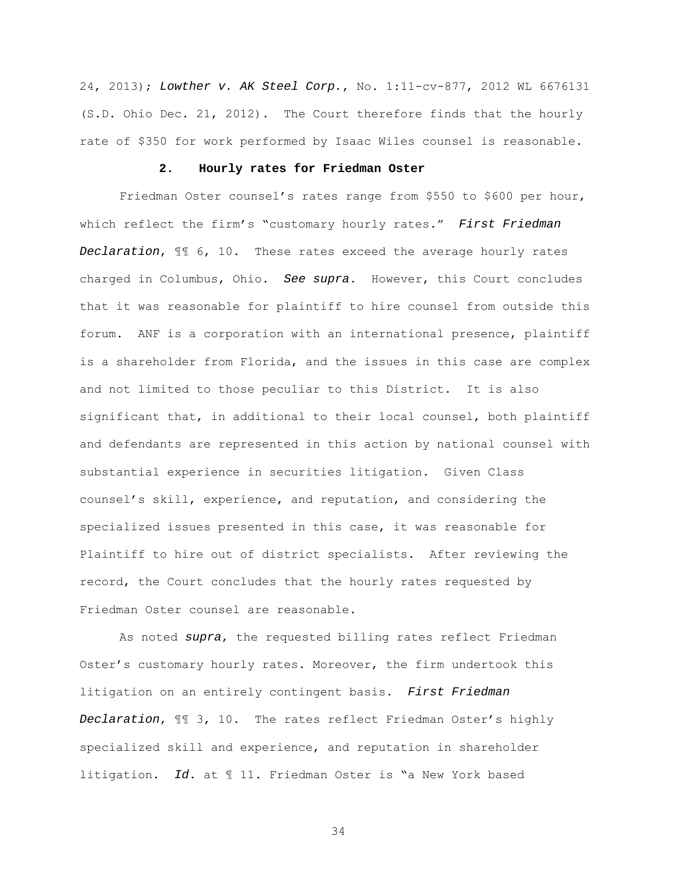24, 2013); Lowther v. AK Steel Corp., No. 1:11-cv-877, 2012 WL 6676131 (S.D. Ohio Dec. 21, 2012). The Court therefore finds that the hourly rate of \$350 for work performed by Isaac Wiles counsel is reasonable.

#### **2. Hourly rates for Friedman Oster**

Friedman Oster counsel's rates range from \$550 to \$600 per hour, which reflect the firm's "customary hourly rates." First Friedman Declaration, ¶¶ 6, 10. These rates exceed the average hourly rates charged in Columbus, Ohio. See supra. However, this Court concludes that it was reasonable for plaintiff to hire counsel from outside this forum. ANF is a corporation with an international presence, plaintiff is a shareholder from Florida, and the issues in this case are complex and not limited to those peculiar to this District. It is also significant that, in additional to their local counsel, both plaintiff and defendants are represented in this action by national counsel with substantial experience in securities litigation. Given Class counsel's skill, experience, and reputation, and considering the specialized issues presented in this case, it was reasonable for Plaintiff to hire out of district specialists. After reviewing the record, the Court concludes that the hourly rates requested by Friedman Oster counsel are reasonable.

As noted supra, the requested billing rates reflect Friedman Oster's customary hourly rates. Moreover, the firm undertook this litigation on an entirely contingent basis. First Friedman Declaration, ¶¶ 3, 10. The rates reflect Friedman Oster's highly specialized skill and experience, and reputation in shareholder litigation. Id. at ¶ 11. Friedman Oster is "a New York based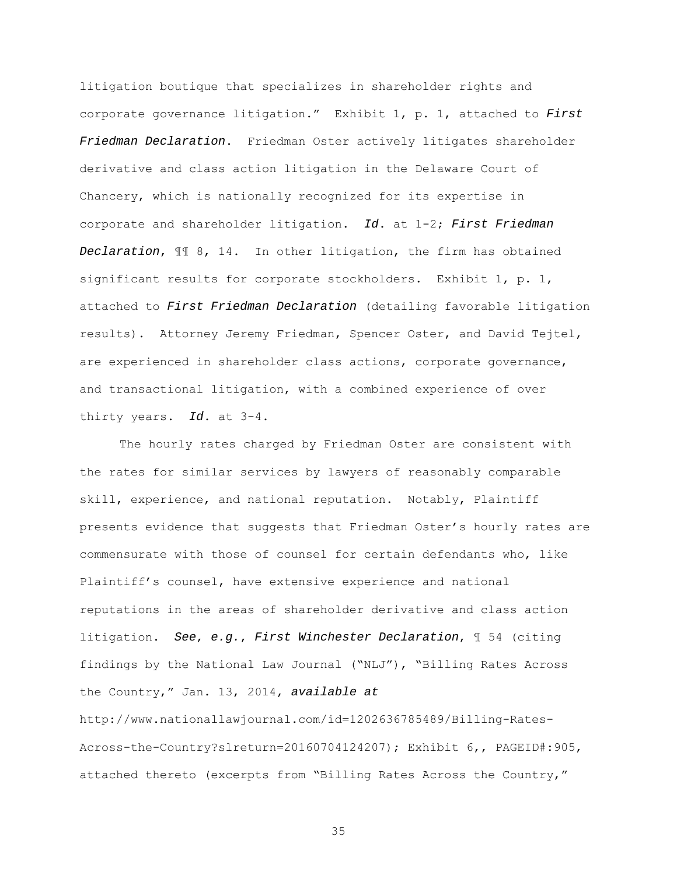litigation boutique that specializes in shareholder rights and corporate governance litigation." Exhibit 1, p. 1, attached to First Friedman Declaration. Friedman Oster actively litigates shareholder derivative and class action litigation in the Delaware Court of Chancery, which is nationally recognized for its expertise in corporate and shareholder litigation. Id. at 1-2; First Friedman Declaration, ¶¶ 8, 14. In other litigation, the firm has obtained significant results for corporate stockholders. Exhibit 1, p. 1, attached to First Friedman Declaration (detailing favorable litigation results). Attorney Jeremy Friedman, Spencer Oster, and David Tejtel, are experienced in shareholder class actions, corporate governance, and transactional litigation, with a combined experience of over thirty years. Id. at 3-4.

The hourly rates charged by Friedman Oster are consistent with the rates for similar services by lawyers of reasonably comparable skill, experience, and national reputation. Notably, Plaintiff presents evidence that suggests that Friedman Oster's hourly rates are commensurate with those of counsel for certain defendants who, like Plaintiff's counsel, have extensive experience and national reputations in the areas of shareholder derivative and class action litigation. See, e.g., First Winchester Declaration, ¶ 54 (citing findings by the National Law Journal ("NLJ"), "Billing Rates Across the Country," Jan. 13, 2014, available at http://www.nationallawjournal.com/id=1202636785489/Billing-Rates-Across-the-Country?slreturn=20160704124207); Exhibit 6,, PAGEID#:905, attached thereto (excerpts from "Billing Rates Across the Country,"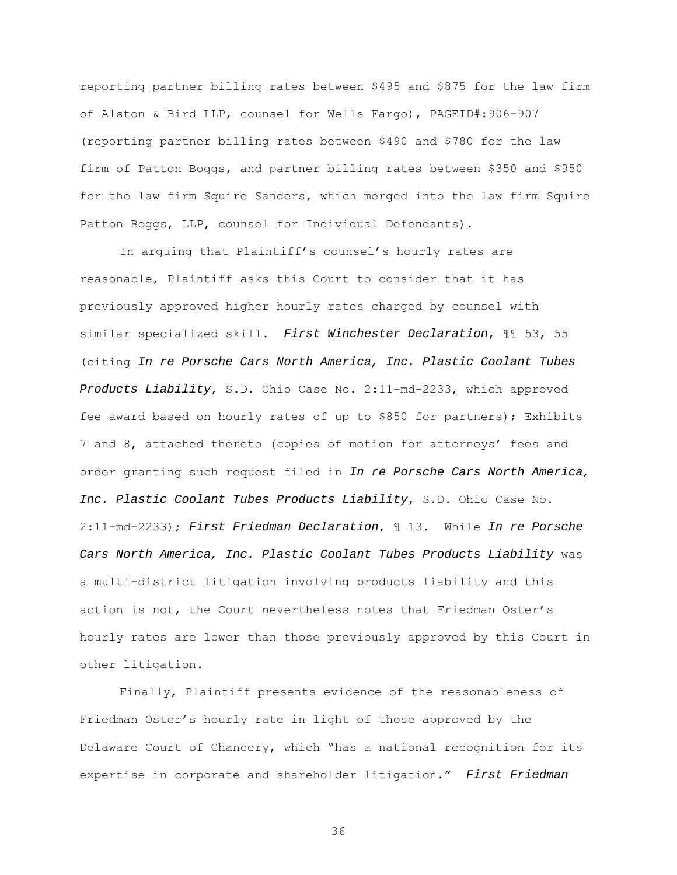reporting partner billing rates between \$495 and \$875 for the law firm of Alston & Bird LLP, counsel for Wells Fargo), PAGEID#:906-907 (reporting partner billing rates between \$490 and \$780 for the law firm of Patton Boggs, and partner billing rates between \$350 and \$950 for the law firm Squire Sanders, which merged into the law firm Squire Patton Boggs, LLP, counsel for Individual Defendants).

 In arguing that Plaintiff's counsel's hourly rates are reasonable, Plaintiff asks this Court to consider that it has previously approved higher hourly rates charged by counsel with similar specialized skill. First Winchester Declaration, 11 53, 55 (citing In re Porsche Cars North America, Inc. Plastic Coolant Tubes Products Liability, S.D. Ohio Case No. 2:11-md-2233, which approved fee award based on hourly rates of up to \$850 for partners); Exhibits 7 and 8, attached thereto (copies of motion for attorneys' fees and order granting such request filed in In re Porsche Cars North America, Inc. Plastic Coolant Tubes Products Liability, S.D. Ohio Case No. 2:11-md-2233); First Friedman Declaration, ¶ 13. While In re Porsche Cars North America, Inc. Plastic Coolant Tubes Products Liability was a multi-district litigation involving products liability and this action is not, the Court nevertheless notes that Friedman Oster's hourly rates are lower than those previously approved by this Court in other litigation.

 Finally, Plaintiff presents evidence of the reasonableness of Friedman Oster's hourly rate in light of those approved by the Delaware Court of Chancery, which "has a national recognition for its expertise in corporate and shareholder litigation." First Friedman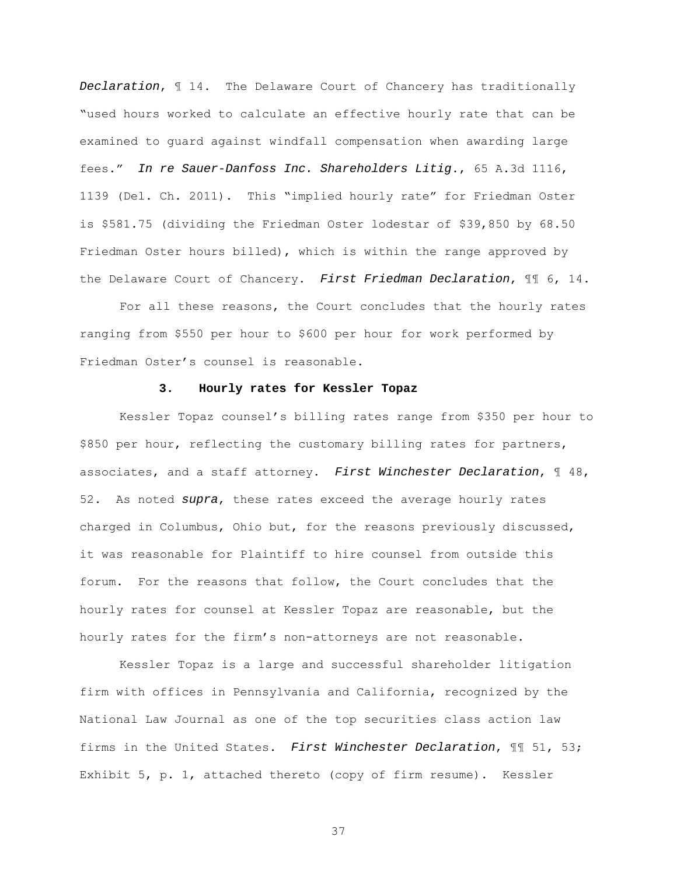Declaration, ¶ 14. The Delaware Court of Chancery has traditionally "used hours worked to calculate an effective hourly rate that can be examined to guard against windfall compensation when awarding large fees." In re Sauer-Danfoss Inc. Shareholders Litig., 65 A.3d 1116, 1139 (Del. Ch. 2011). This "implied hourly rate" for Friedman Oster is \$581.75 (dividing the Friedman Oster lodestar of \$39,850 by 68.50 Friedman Oster hours billed), which is within the range approved by the Delaware Court of Chancery. First Friedman Declaration,  $\mathbb{II}$  6, 14.

For all these reasons, the Court concludes that the hourly rates ranging from \$550 per hour to \$600 per hour for work performed by Friedman Oster's counsel is reasonable.

# **3. Hourly rates for Kessler Topaz**

Kessler Topaz counsel's billing rates range from \$350 per hour to \$850 per hour, reflecting the customary billing rates for partners, associates, and a staff attorney. First Winchester Declaration, ¶ 48, 52. As noted supra, these rates exceed the average hourly rates charged in Columbus, Ohio but, for the reasons previously discussed, it was reasonable for Plaintiff to hire counsel from outside this forum. For the reasons that follow, the Court concludes that the hourly rates for counsel at Kessler Topaz are reasonable, but the hourly rates for the firm's non-attorneys are not reasonable.

Kessler Topaz is a large and successful shareholder litigation firm with offices in Pennsylvania and California, recognized by the National Law Journal as one of the top securities class action law firms in the United States. First Winchester Declaration, ¶¶ 51, 53; Exhibit 5, p. 1, attached thereto (copy of firm resume). Kessler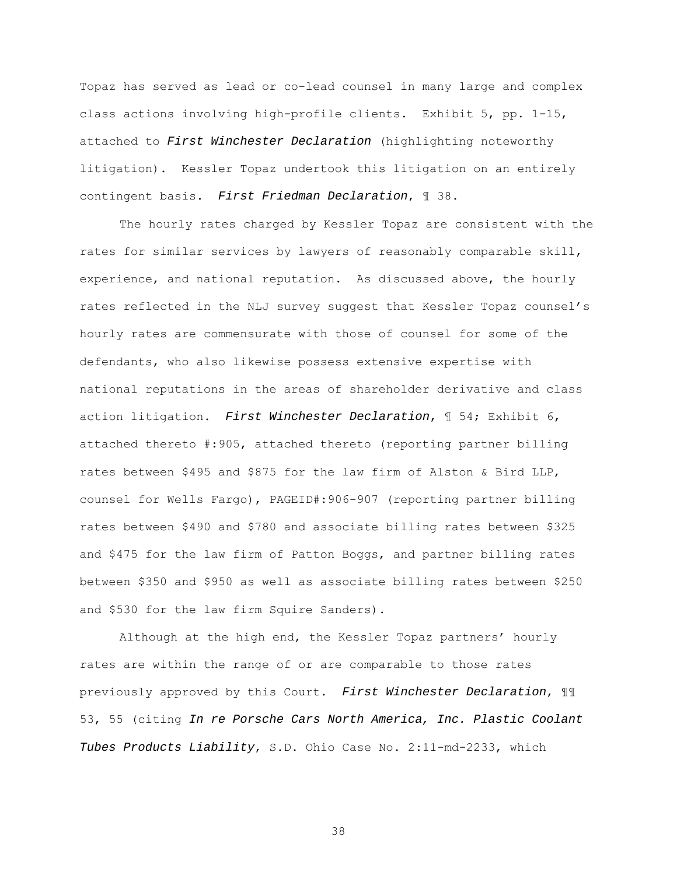Topaz has served as lead or co-lead counsel in many large and complex class actions involving high-profile clients. Exhibit 5, pp. 1-15, attached to First Winchester Declaration (highlighting noteworthy litigation). Kessler Topaz undertook this litigation on an entirely contingent basis. First Friedman Declaration, ¶ 38.

The hourly rates charged by Kessler Topaz are consistent with the rates for similar services by lawyers of reasonably comparable skill, experience, and national reputation. As discussed above, the hourly rates reflected in the NLJ survey suggest that Kessler Topaz counsel's hourly rates are commensurate with those of counsel for some of the defendants, who also likewise possess extensive expertise with national reputations in the areas of shareholder derivative and class action litigation. First Winchester Declaration, ¶ 54; Exhibit 6, attached thereto #:905, attached thereto (reporting partner billing rates between \$495 and \$875 for the law firm of Alston & Bird LLP, counsel for Wells Fargo), PAGEID#:906-907 (reporting partner billing rates between \$490 and \$780 and associate billing rates between \$325 and \$475 for the law firm of Patton Boggs, and partner billing rates between \$350 and \$950 as well as associate billing rates between \$250 and \$530 for the law firm Squire Sanders).

Although at the high end, the Kessler Topaz partners' hourly rates are within the range of or are comparable to those rates previously approved by this Court. First Winchester Declaration,  $\mathbb{II}$ 53, 55 (citing In re Porsche Cars North America, Inc. Plastic Coolant Tubes Products Liability, S.D. Ohio Case No. 2:11-md-2233, which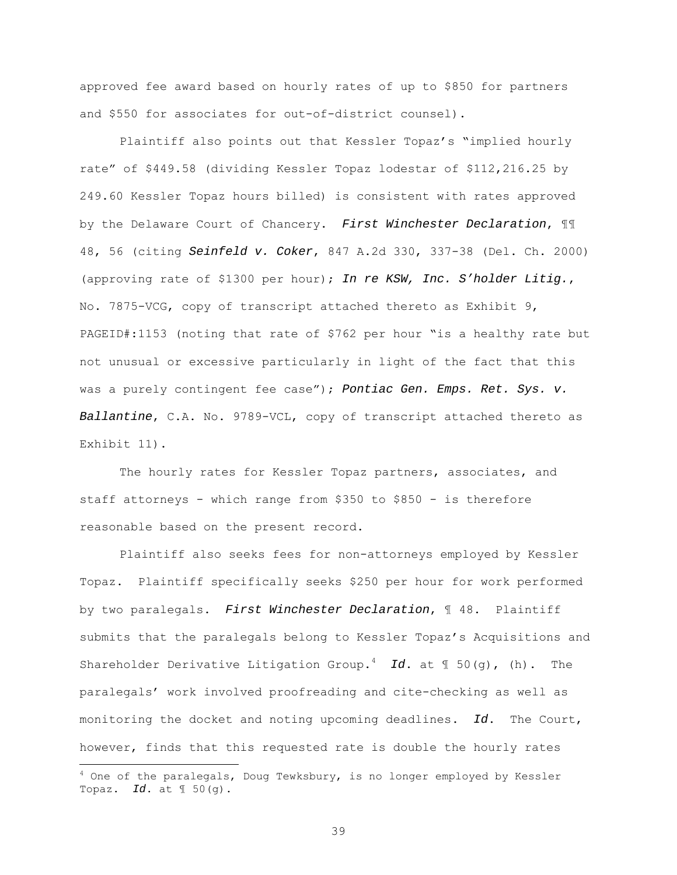approved fee award based on hourly rates of up to \$850 for partners and \$550 for associates for out-of-district counsel).

Plaintiff also points out that Kessler Topaz's "implied hourly rate" of \$449.58 (dividing Kessler Topaz lodestar of \$112,216.25 by 249.60 Kessler Topaz hours billed) is consistent with rates approved by the Delaware Court of Chancery. First Winchester Declaration,  $\mathbb{I}\mathbb{I}$ 48, 56 (citing Seinfeld v. Coker, 847 A.2d 330, 337-38 (Del. Ch. 2000) (approving rate of \$1300 per hour); In re KSW, Inc. S'holder Litig., No. 7875-VCG, copy of transcript attached thereto as Exhibit 9, PAGEID#:1153 (noting that rate of \$762 per hour "is a healthy rate but not unusual or excessive particularly in light of the fact that this was a purely contingent fee case"); Pontiac Gen. Emps. Ret. Sys. v. Ballantine, C.A. No. 9789-VCL, copy of transcript attached thereto as Exhibit 11).

The hourly rates for Kessler Topaz partners, associates, and staff attorneys - which range from \$350 to \$850 - is therefore reasonable based on the present record.

Plaintiff also seeks fees for non-attorneys employed by Kessler Topaz. Plaintiff specifically seeks \$250 per hour for work performed by two paralegals. First Winchester Declaration, ¶ 48. Plaintiff submits that the paralegals belong to Kessler Topaz's Acquisitions and Shareholder Derivative Litigation Group.<sup>4</sup> Id. at  $\mathbb{I}$  50(g), (h). The paralegals' work involved proofreading and cite-checking as well as monitoring the docket and noting upcoming deadlines. Id. The Court, however, finds that this requested rate is double the hourly rates

 $4$  One of the paralegals, Doug Tewksbury, is no longer employed by Kessler Topaz. Id. at  $\mathbb{I}$  50(g).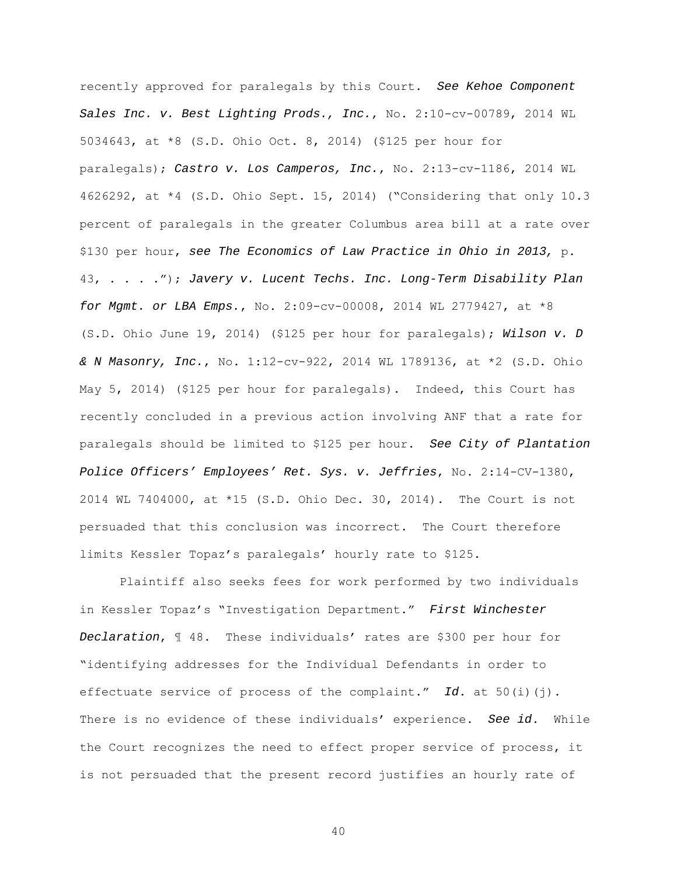recently approved for paralegals by this Court. See Kehoe Component Sales Inc. v. Best Lighting Prods., Inc., No. 2:10-cv-00789, 2014 WL 5034643, at \*8 (S.D. Ohio Oct. 8, 2014) (\$125 per hour for paralegals); Castro v. Los Camperos, Inc., No. 2:13-cv-1186, 2014 WL 4626292, at \*4 (S.D. Ohio Sept. 15, 2014) ("Considering that only 10.3 percent of paralegals in the greater Columbus area bill at a rate over \$130 per hour, see The Economics of Law Practice in Ohio in 2013, p. 43, . . . ."); Javery v. Lucent Techs. Inc. Long-Term Disability Plan for Mgmt. or LBA Emps., No. 2:09-cv-00008, 2014 WL 2779427, at \*8 (S.D. Ohio June 19, 2014) (\$125 per hour for paralegals); Wilson v. D & N Masonry, Inc., No. 1:12-cv-922, 2014 WL 1789136, at \*2 (S.D. Ohio May 5, 2014) (\$125 per hour for paralegals). Indeed, this Court has recently concluded in a previous action involving ANF that a rate for paralegals should be limited to \$125 per hour. See City of Plantation Police Officers' Employees' Ret. Sys. v. Jeffries, No. 2:14-CV-1380, 2014 WL 7404000, at \*15 (S.D. Ohio Dec. 30, 2014). The Court is not persuaded that this conclusion was incorrect. The Court therefore limits Kessler Topaz's paralegals' hourly rate to \$125.

Plaintiff also seeks fees for work performed by two individuals in Kessler Topaz's "Investigation Department." First Winchester Declaration, ¶ 48. These individuals' rates are \$300 per hour for "identifying addresses for the Individual Defendants in order to effectuate service of process of the complaint." Id. at 50(i)(j). There is no evidence of these individuals' experience. See id. While the Court recognizes the need to effect proper service of process, it is not persuaded that the present record justifies an hourly rate of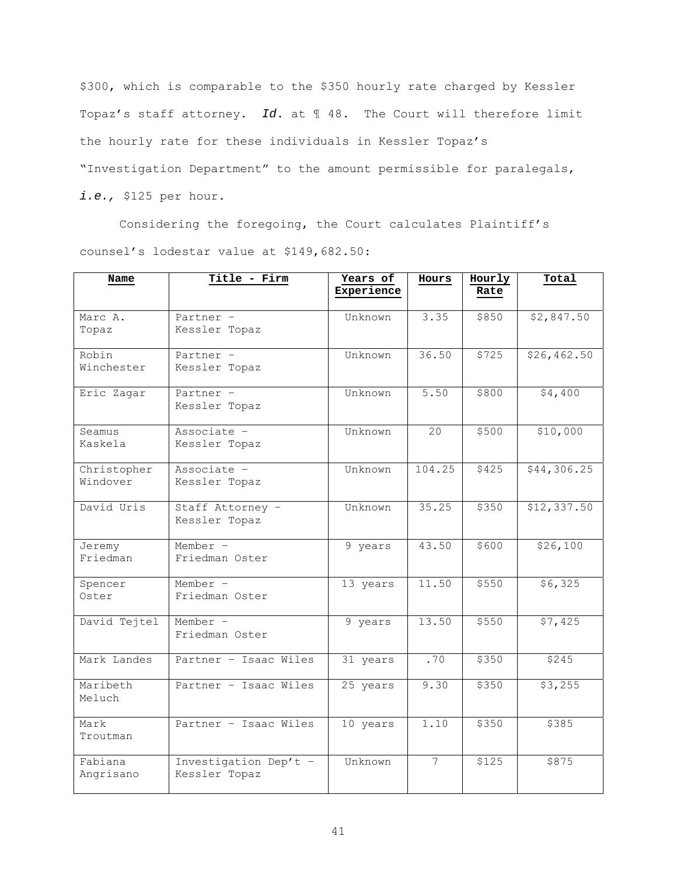\$300, which is comparable to the \$350 hourly rate charged by Kessler Topaz's staff attorney. Id. at 1 48. The Court will therefore limit the hourly rate for these individuals in Kessler Topaz's "Investigation Department" to the amount permissible for paralegals, i.e., \$125 per hour.

Considering the foregoing, the Court calculates Plaintiff's counsel's lodestar value at \$149,682.50:

| Name                    | Title - Firm                           | Years of<br>Experience | Hours           | Hourly<br>Rate | Total        |
|-------------------------|----------------------------------------|------------------------|-----------------|----------------|--------------|
| Marc A.<br>Topaz        | Partner -<br>Kessler Topaz             | Unknown                | 3.35            | \$850          | \$2,847.50   |
| Robin<br>Winchester     | Partner -<br>Kessler Topaz             | Unknown                | 36.50           | \$725          | \$26, 462.50 |
| Eric Zagar              | Partner -<br>Kessler Topaz             | Unknown                | 5.50            | \$800          | \$4,400      |
| Seamus<br>Kaskela       | Associate -<br>Kessler Topaz           | Unknown                | 20              | \$500          | \$10,000     |
| Christopher<br>Windover | Associate -<br>Kessler Topaz           | Unknown                | 104.25          | \$425          | \$44,306.25  |
| David Uris              | Staff Attorney -<br>Kessler Topaz      | Unknown                | 35.25           | \$350          | \$12,337.50  |
| Jeremy<br>Friedman      | Member -<br>Friedman Oster             | 9 years                | 43.50           | \$600          | \$26,100     |
| Spencer<br>Oster        | Member -<br>Friedman Oster             | 13 years               | 11.50           | \$550          | \$6,325      |
| David Tejtel            | Member -<br>Friedman Oster             | 9 years                | 13.50           | \$550          | \$7,425      |
| Mark Landes             | Partner - Isaac Wiles                  | 31 years               | .70             | \$350          | \$245        |
| Maribeth<br>Meluch      | Partner - Isaac Wiles                  | 25 years               | 9.30            | \$350          | \$3,255      |
| Mark<br>Troutman        | Partner - Isaac Wiles                  | 10 years               | 1.10            | \$350          | \$385        |
| Fabiana<br>Angrisano    | Investigation Dep't -<br>Kessler Topaz | Unknown                | $7\overline{ }$ | \$125          | \$875        |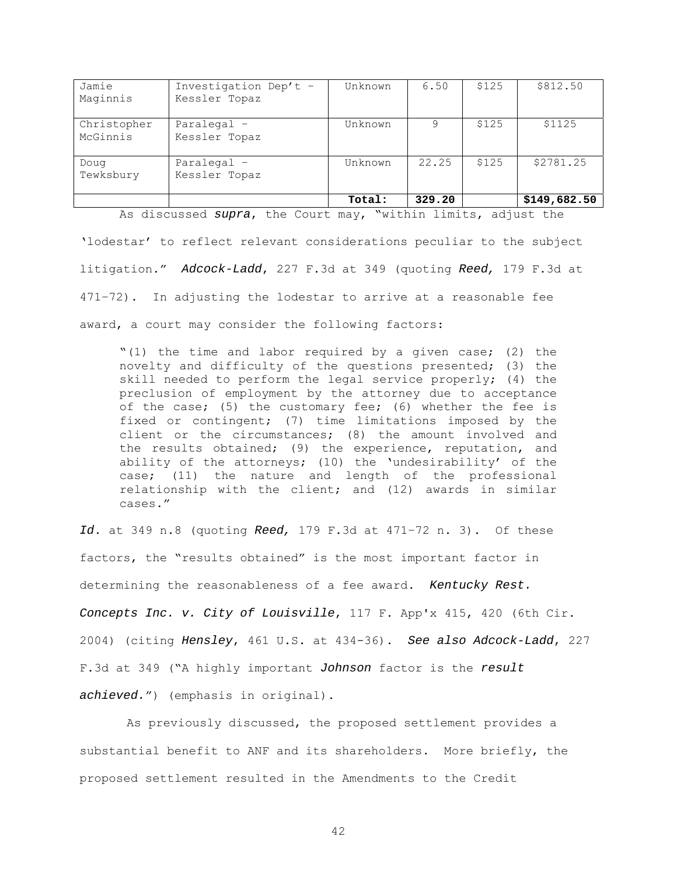| Jamie<br>Maginnis       | Investigation Dep't -<br>Kessler Topaz | Unknown | 6.50   | \$125 | \$812.50     |
|-------------------------|----------------------------------------|---------|--------|-------|--------------|
|                         |                                        |         |        |       |              |
| Christopher<br>McGinnis | Paralegal -<br>Kessler Topaz           | Unknown | q      | \$125 | \$1125       |
| Doug<br>Tewksbury       | Paralegal $-$<br>Kessler Topaz         | Unknown | 22.25  | \$125 | \$2781.25    |
|                         |                                        | Total:  | 329.20 |       | \$149,682.50 |

As discussed supra, the Court may, "within limits, adjust the

'lodestar' to reflect relevant considerations peculiar to the subject litigation." Adcock-Ladd, 227 F.3d at 349 (quoting Reed, 179 F.3d at 471–72). In adjusting the lodestar to arrive at a reasonable fee award, a court may consider the following factors:

"(1) the time and labor required by a given case; (2) the novelty and difficulty of the questions presented; (3) the skill needed to perform the legal service properly; (4) the preclusion of employment by the attorney due to acceptance of the case; (5) the customary fee; (6) whether the fee is fixed or contingent; (7) time limitations imposed by the client or the circumstances; (8) the amount involved and the results obtained; (9) the experience, reputation, and ability of the attorneys; (10) the 'undesirability' of the case; (11) the nature and length of the professional relationship with the client; and (12) awards in similar cases."

Id. at 349 n.8 (quoting Reed, 179 F.3d at 471-72 n. 3). Of these factors, the "results obtained" is the most important factor in determining the reasonableness of a fee award. Kentucky Rest. Concepts Inc. v. City of Louisville, 117 F. App'x 415, 420 (6th Cir. 2004) (citing Hensley, 461 U.S. at 434-36). See also Adcock-Ladd, 227 F.3d at 349 ("A highly important Johnson factor is the result achieved.") (emphasis in original).

 As previously discussed, the proposed settlement provides a substantial benefit to ANF and its shareholders. More briefly, the proposed settlement resulted in the Amendments to the Credit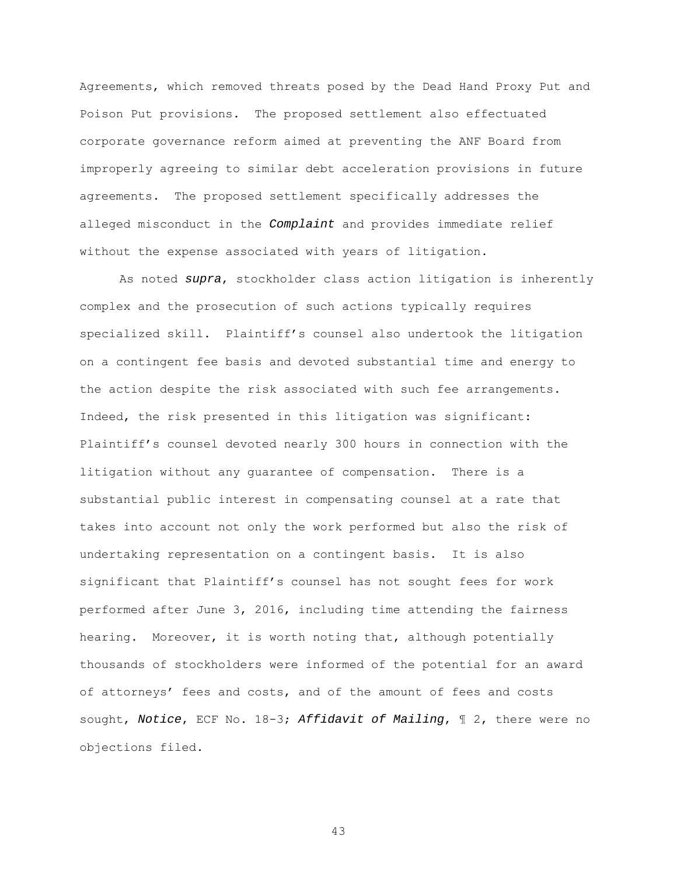Agreements, which removed threats posed by the Dead Hand Proxy Put and Poison Put provisions. The proposed settlement also effectuated corporate governance reform aimed at preventing the ANF Board from improperly agreeing to similar debt acceleration provisions in future agreements. The proposed settlement specifically addresses the alleged misconduct in the Complaint and provides immediate relief without the expense associated with years of litigation.

As noted supra, stockholder class action litigation is inherently complex and the prosecution of such actions typically requires specialized skill. Plaintiff's counsel also undertook the litigation on a contingent fee basis and devoted substantial time and energy to the action despite the risk associated with such fee arrangements. Indeed, the risk presented in this litigation was significant: Plaintiff's counsel devoted nearly 300 hours in connection with the litigation without any guarantee of compensation. There is a substantial public interest in compensating counsel at a rate that takes into account not only the work performed but also the risk of undertaking representation on a contingent basis. It is also significant that Plaintiff's counsel has not sought fees for work performed after June 3, 2016, including time attending the fairness hearing. Moreover, it is worth noting that, although potentially thousands of stockholders were informed of the potential for an award of attorneys' fees and costs, and of the amount of fees and costs sought, Notice, ECF No. 18-3; Affidavit of Mailing,  $\mathbb I$  2, there were no objections filed.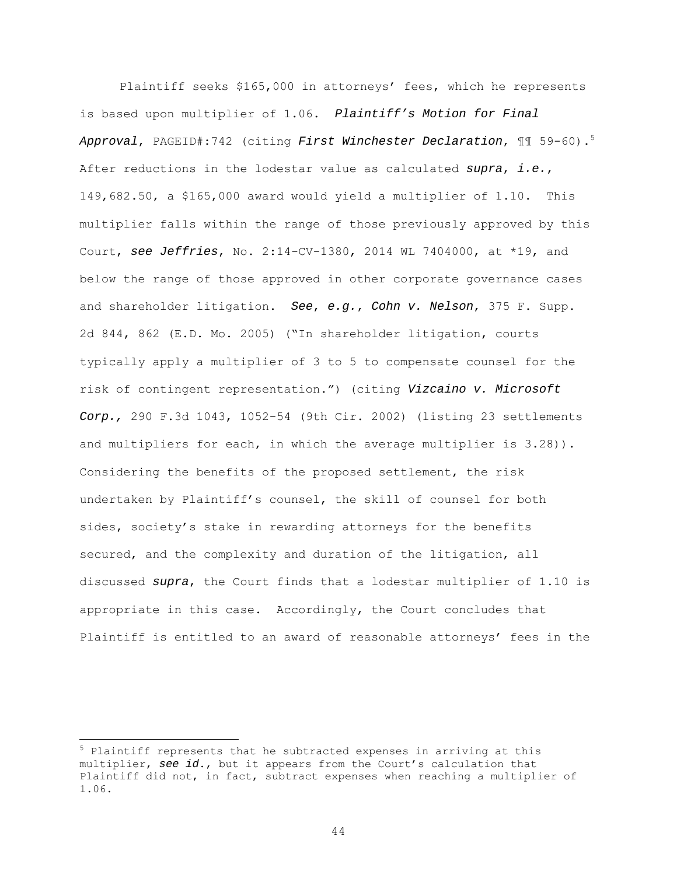Plaintiff seeks \$165,000 in attorneys' fees, which he represents is based upon multiplier of 1.06. Plaintiff's Motion for Final Approval, PAGEID#:742 (citing First Winchester Declaration,  $\text{\textsterling}\, 59-60$ ).<sup>5</sup> After reductions in the lodestar value as calculated supra, i.e., 149,682.50, a \$165,000 award would yield a multiplier of 1.10. This multiplier falls within the range of those previously approved by this Court, see Jeffries, No.  $2:14$ -CV-1380, 2014 WL 7404000, at \*19, and below the range of those approved in other corporate governance cases and shareholder litigation. See, e.g., Cohn v. Nelson, 375 F. Supp. 2d 844, 862 (E.D. Mo. 2005) ("In shareholder litigation, courts typically apply a multiplier of 3 to 5 to compensate counsel for the risk of contingent representation.") (citing Vizcaino v. Microsoft Corp., 290 F.3d 1043, 1052-54 (9th Cir. 2002) (listing 23 settlements and multipliers for each, in which the average multiplier is 3.28)). Considering the benefits of the proposed settlement, the risk undertaken by Plaintiff's counsel, the skill of counsel for both sides, society's stake in rewarding attorneys for the benefits secured, and the complexity and duration of the litigation, all discussed supra, the Court finds that a lodestar multiplier of 1.10 is appropriate in this case. Accordingly, the Court concludes that Plaintiff is entitled to an award of reasonable attorneys' fees in the

 $5$  Plaintiff represents that he subtracted expenses in arriving at this multiplier, see id., but it appears from the Court's calculation that Plaintiff did not, in fact, subtract expenses when reaching a multiplier of 1.06.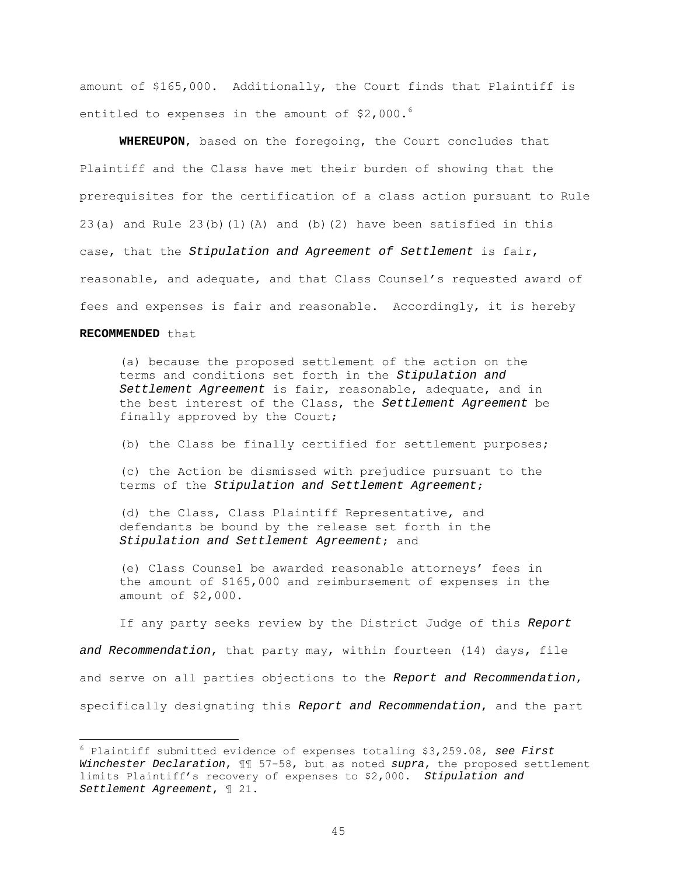amount of \$165,000. Additionally, the Court finds that Plaintiff is entitled to expenses in the amount of  $$2,000.^6$ 

**WHEREUPON**, based on the foregoing, the Court concludes that Plaintiff and the Class have met their burden of showing that the prerequisites for the certification of a class action pursuant to Rule 23(a) and Rule  $23(b)(1)(A)$  and (b)(2) have been satisfied in this case, that the Stipulation and Agreement of Settlement is fair, reasonable, and adequate, and that Class Counsel's requested award of fees and expenses is fair and reasonable. Accordingly, it is hereby

# **RECOMMENDED** that

(a) because the proposed settlement of the action on the terms and conditions set forth in the Stipulation and Settlement Agreement is fair, reasonable, adequate, and in the best interest of the Class, the Settlement Agreement be finally approved by the Court;

(b) the Class be finally certified for settlement purposes;

(c) the Action be dismissed with prejudice pursuant to the terms of the Stipulation and Settlement Agreement;

(d) the Class, Class Plaintiff Representative, and defendants be bound by the release set forth in the Stipulation and Settlement Agreement; and

(e) Class Counsel be awarded reasonable attorneys' fees in the amount of \$165,000 and reimbursement of expenses in the amount of \$2,000.

If any party seeks review by the District Judge of this Report and Recommendation, that party may, within fourteen (14) days, file and serve on all parties objections to the Report and Recommendation, specifically designating this Report and Recommendation, and the part

 $6$  Plaintiff submitted evidence of expenses totaling \$3,259.08, see First Winchester Declaration,  $\mathbb{I}$  57-58, but as noted supra, the proposed settlement limits Plaintiff's recovery of expenses to \$2,000. Stipulation and Settlement Agreement, ¶ 21.